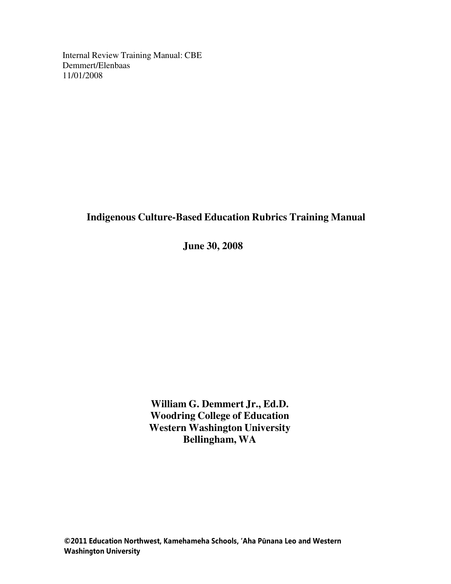Internal Review Training Manual: CBE Demmert/Elenbaas 11/01/2008

# **Indigenous Culture-Based Education Rubrics Training Manual**

**June 30, 2008**

**William G. Demmert Jr., Ed.D. Woodring College of Education Western Washington University Bellingham, WA**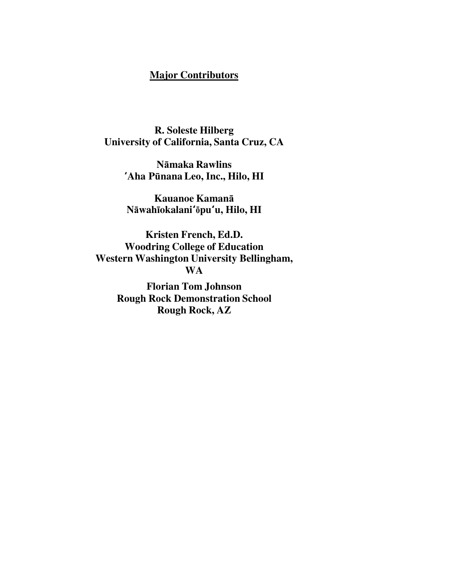# **Major Contributors**

**R. Soleste Hilberg University of California, Santa Cruz, CA**

> **N**ā**maka Rawlins** ʻ**Aha P**ū**nana Leo, Inc., Hilo, HI**

**Kauanoe Kaman**ā **N**ā**wah**ī**okalani**ʻō**pu**ʻ**u, Hilo, HI**

**Kristen French, Ed.D. Woodring College of Education Western Washington University Bellingham, WA**

> **Florian Tom Johnson Rough Rock Demonstration School Rough Rock, AZ**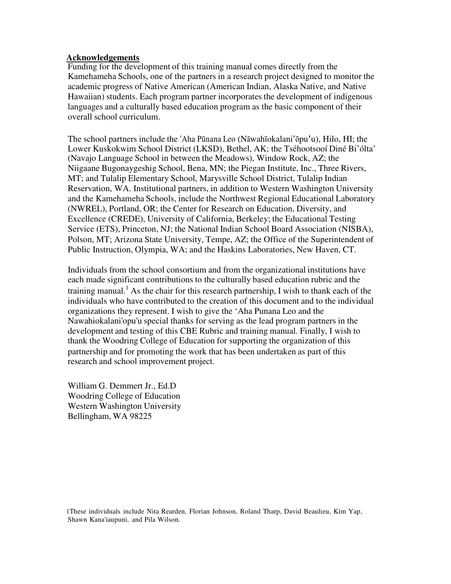#### **Acknowledgements**

Funding for the development of this training manual comes directly from the Kamehameha Schools, one of the partners in a research project designed to monitor the academic progress of Native American (American Indian, Alaska Native, and Native Hawaiian) students. Each program partner incorporates the development of indigenous languages and a culturally based education program as the basic component of their overall school curriculum.

The school partners include the 'Aha Pūnana Leo (Nāwahīokalani'ōpu'u), Hilo, HI; the Lower Kuskokwim School District (LKSD), Bethel, AK; the Tséhootsooí Diné Bi'ólta' (Navajo Language School in between the Meadows), Window Rock, AZ; the Niigaane Bugonaygeshig School, Bena, MN; the Piegan Institute, Inc., Three Rivers, MT; and Tulalip Elementary School, Marysville School District, Tulalip Indian Reservation, WA. Institutional partners, in addition to Western Washington University and the Kamehameha Schools, include the Northwest Regional Educational Laboratory (NWREL), Portland, OR; the Center for Research on Education, Diversity, and Excellence (CREDE), University of California, Berkeley; the Educational Testing Service (ETS), Princeton, NJ; the National Indian School Board Association (NISBA), Polson, MT; Arizona State University, Tempe, AZ; the Office of the Superintendent of Public Instruction, Olympia, WA; and the Haskins Laboratories, New Haven, CT.

Individuals from the school consortium and from the organizational institutions have each made significant contributions to the culturally based education rubric and the training manual.<sup>1</sup> As the chair for this research partnership, I wish to thank each of the individuals who have contributed to the creation of this document and to the individual organizations they represent. I wish to give the 'Aha Punana Leo and the Nawahiokalani'opu'u special thanks for serving as the lead program partners in the development and testing of this CBE Rubric and training manual. Finally, I wish to thank the Woodring College of Education for supporting the organization of this partnership and for promoting the work that has been undertaken as part of this research and school improvement project.

William G. Demmert Jr., Ed.D Woodring College of Education Western Washington University Bellingham, WA 98225

1These individuals include Nita Rearden, Florian Johnson, Roland Tharp, David Beaulieu, Kim Yap, Shawn Kana'iaupuni, and Pila Wilson.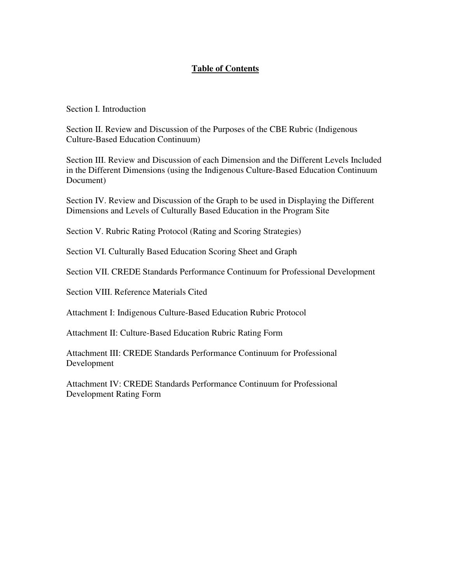## **Table of Contents**

Section I. Introduction

Section II. Review and Discussion of the Purposes of the CBE Rubric (Indigenous Culture-Based Education Continuum)

Section III. Review and Discussion of each Dimension and the Different Levels Included in the Different Dimensions (using the Indigenous Culture-Based Education Continuum Document)

Section IV. Review and Discussion of the Graph to be used in Displaying the Different Dimensions and Levels of Culturally Based Education in the Program Site

Section V. Rubric Rating Protocol (Rating and Scoring Strategies)

Section VI. Culturally Based Education Scoring Sheet and Graph

Section VII. CREDE Standards Performance Continuum for Professional Development

Section VIII. Reference Materials Cited

Attachment I: Indigenous Culture-Based Education Rubric Protocol

Attachment II: Culture-Based Education Rubric Rating Form

Attachment III: CREDE Standards Performance Continuum for Professional Development

Attachment IV: CREDE Standards Performance Continuum for Professional Development Rating Form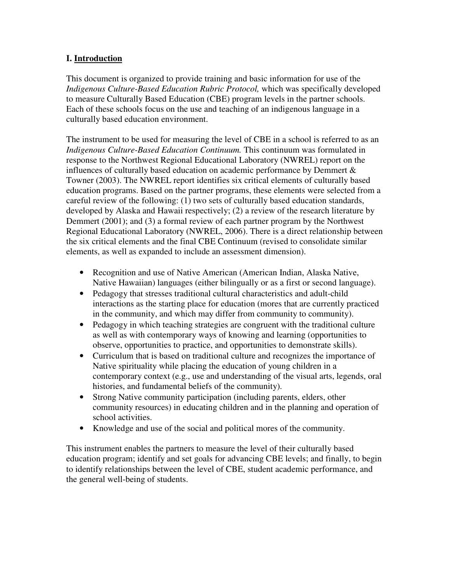## **I. Introduction**

This document is organized to provide training and basic information for use of the *Indigenous Culture-Based Education Rubric Protocol,* which was specifically developed to measure Culturally Based Education (CBE) program levels in the partner schools. Each of these schools focus on the use and teaching of an indigenous language in a culturally based education environment.

The instrument to be used for measuring the level of CBE in a school is referred to as an *Indigenous Culture-Based Education Continuum.* This continuum was formulated in response to the Northwest Regional Educational Laboratory (NWREL) report on the influences of culturally based education on academic performance by Demmert  $\&$ Towner (2003). The NWREL report identifies six critical elements of culturally based education programs. Based on the partner programs, these elements were selected from a careful review of the following: (1) two sets of culturally based education standards, developed by Alaska and Hawaii respectively; (2) a review of the research literature by Demmert (2001); and (3) a formal review of each partner program by the Northwest Regional Educational Laboratory (NWREL, 2006). There is a direct relationship between the six critical elements and the final CBE Continuum (revised to consolidate similar elements, as well as expanded to include an assessment dimension).

- Recognition and use of Native American (American Indian, Alaska Native, Native Hawaiian) languages (either bilingually or as a first or second language).
- Pedagogy that stresses traditional cultural characteristics and adult-child interactions as the starting place for education (mores that are currently practiced in the community, and which may differ from community to community).
- Pedagogy in which teaching strategies are congruent with the traditional culture as well as with contemporary ways of knowing and learning (opportunities to observe, opportunities to practice, and opportunities to demonstrate skills).
- Curriculum that is based on traditional culture and recognizes the importance of Native spirituality while placing the education of young children in a contemporary context (e.g., use and understanding of the visual arts, legends, oral histories, and fundamental beliefs of the community).
- Strong Native community participation (including parents, elders, other community resources) in educating children and in the planning and operation of school activities.
- Knowledge and use of the social and political mores of the community.

This instrument enables the partners to measure the level of their culturally based education program; identify and set goals for advancing CBE levels; and finally, to begin to identify relationships between the level of CBE, student academic performance, and the general well-being of students.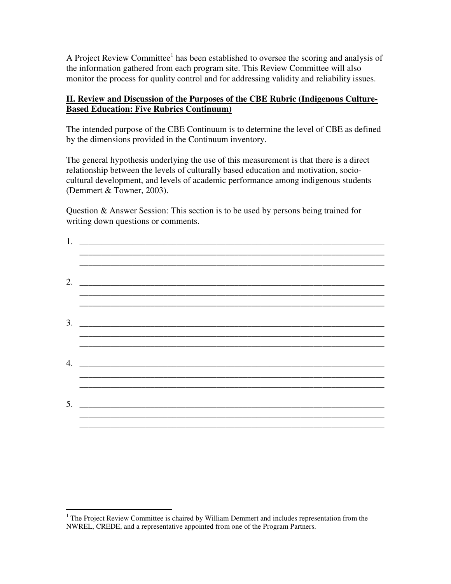A Project Review Committee<sup>1</sup> has been established to oversee the scoring and analysis of the information gathered from each program site. This Review Committee will also monitor the process for quality control and for addressing validity and reliability issues.

#### **II. Review and Discussion of the Purposes of the CBE Rubric (Indigenous Culture-Based Education: Five Rubrics Continuum)**

The intended purpose of the CBE Continuum is to determine the level of CBE as defined by the dimensions provided in the Continuum inventory.

The general hypothesis underlying the use of this measurement is that there is a direct relationship between the levels of culturally based education and motivation, sociocultural development, and levels of academic performance among indigenous students (Demmert & Towner, 2003).

Question & Answer Session: This section is to be used by persons being trained for writing down questions or comments.

| 1. |                             |
|----|-----------------------------|
|    | 2. $\overline{\phantom{a}}$ |
|    |                             |
|    |                             |
|    | 5.                          |

<sup>&</sup>lt;sup>1</sup> The Project Review Committee is chaired by William Demmert and includes representation from the NWREL, CREDE, and a representative appointed from one of the Program Partners.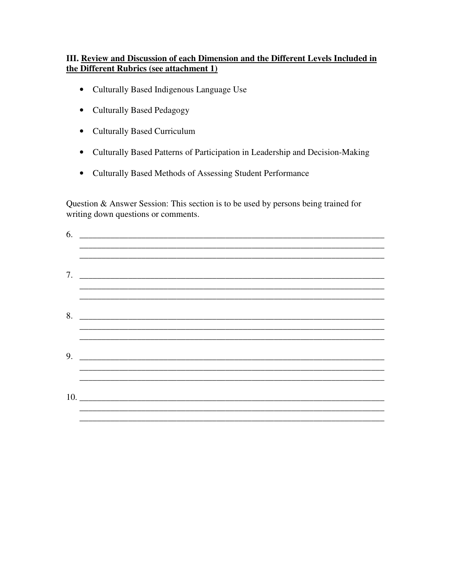#### III. Review and Discussion of each Dimension and the Different Levels Included in the Different Rubrics (see attachment 1)

- Culturally Based Indigenous Language Use
- Culturally Based Pedagogy
- Culturally Based Curriculum
- Culturally Based Patterns of Participation in Leadership and Decision-Making
- Culturally Based Methods of Assessing Student Performance

Question & Answer Session: This section is to be used by persons being trained for writing down questions or comments.

| $7.$ $\overline{\phantom{a}}$ |
|-------------------------------|
|                               |
| 8.                            |
|                               |
|                               |
| $9.$ $\overline{\phantom{a}}$ |
|                               |
|                               |
| 10.                           |
|                               |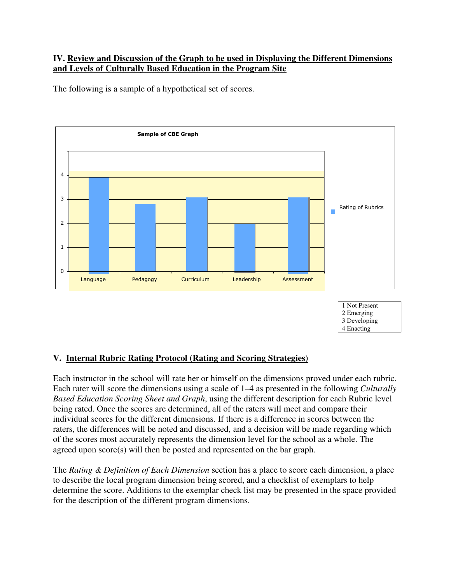#### **IV. Review and Discussion of the Graph to be used in Displaying the Different Dimensions and Levels of Culturally Based Education in the Program Site**

The following is a sample of a hypothetical set of scores.



#### **V. Internal Rubric Rating Protocol (Rating and Scoring Strategies)**

Each instructor in the school will rate her or himself on the dimensions proved under each rubric. Each rater will score the dimensions using a scale of 1–4 as presented in the following *Culturally Based Education Scoring Sheet and Graph*, using the different description for each Rubric level being rated. Once the scores are determined, all of the raters will meet and compare their individual scores for the different dimensions. If there is a difference in scores between the raters, the differences will be noted and discussed, and a decision will be made regarding which of the scores most accurately represents the dimension level for the school as a whole. The agreed upon score(s) will then be posted and represented on the bar graph.

The *Rating & Definition of Each Dimension* section has a place to score each dimension, a place to describe the local program dimension being scored, and a checklist of exemplars to help determine the score. Additions to the exemplar check list may be presented in the space provided for the description of the different program dimensions.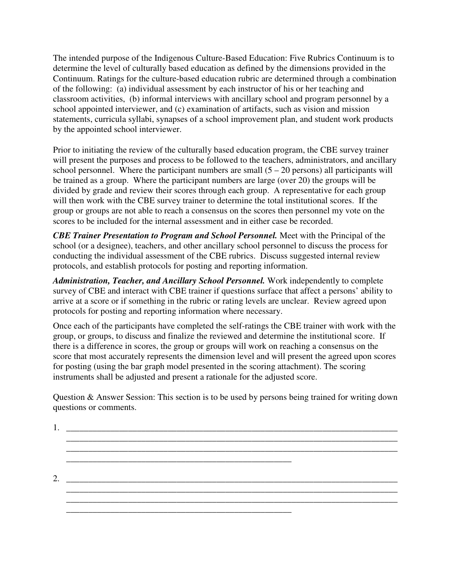The intended purpose of the Indigenous Culture-Based Education: Five Rubrics Continuum is to determine the level of culturally based education as defined by the dimensions provided in the Continuum. Ratings for the culture-based education rubric are determined through a combination of the following: (a) individual assessment by each instructor of his or her teaching and classroom activities, (b) informal interviews with ancillary school and program personnel by a school appointed interviewer, and (c) examination of artifacts, such as vision and mission statements, curricula syllabi, synapses of a school improvement plan, and student work products by the appointed school interviewer.

Prior to initiating the review of the culturally based education program, the CBE survey trainer will present the purposes and process to be followed to the teachers, administrators, and ancillary school personnel. Where the participant numbers are small  $(5 - 20$  persons) all participants will be trained as a group. Where the participant numbers are large (over 20) the groups will be divided by grade and review their scores through each group. A representative for each group will then work with the CBE survey trainer to determine the total institutional scores. If the group or groups are not able to reach a consensus on the scores then personnel my vote on the scores to be included for the internal assessment and in either case be recorded.

*CBE Trainer Presentation to Program and School Personnel.* Meet with the Principal of the school (or a designee), teachers, and other ancillary school personnel to discuss the process for conducting the individual assessment of the CBE rubrics. Discuss suggested internal review protocols, and establish protocols for posting and reporting information.

*Administration, Teacher, and Ancillary School Personnel.* Work independently to complete survey of CBE and interact with CBE trainer if questions surface that affect a persons' ability to arrive at a score or if something in the rubric or rating levels are unclear. Review agreed upon protocols for posting and reporting information where necessary.

Once each of the participants have completed the self-ratings the CBE trainer with work with the group, or groups, to discuss and finalize the reviewed and determine the institutional score. If there is a difference in scores, the group or groups will work on reaching a consensus on the score that most accurately represents the dimension level and will present the agreed upon scores for posting (using the bar graph model presented in the scoring attachment). The scoring instruments shall be adjusted and present a rationale for the adjusted score.

Question & Answer Session: This section is to be used by persons being trained for writing down questions or comments.

|               | <u> 1980 - Johann John Stone, markin film yn y brenin y brenin y brenin y brenin y brenin y brenin y brenin y br</u> |  |
|---------------|----------------------------------------------------------------------------------------------------------------------|--|
|               |                                                                                                                      |  |
|               |                                                                                                                      |  |
|               |                                                                                                                      |  |
|               |                                                                                                                      |  |
| $\mathcal{D}$ |                                                                                                                      |  |
|               |                                                                                                                      |  |
|               |                                                                                                                      |  |
|               |                                                                                                                      |  |
|               |                                                                                                                      |  |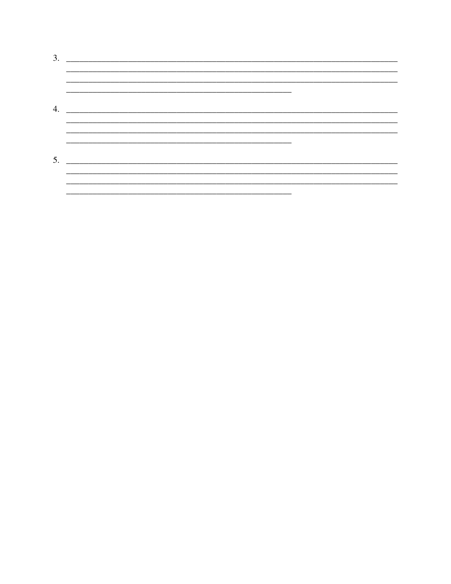| 3. | <u> 1980 - John Stein, mars and de Britain and de Britain and de Britain and de Britain and de Britain and de Br</u> |  |
|----|----------------------------------------------------------------------------------------------------------------------|--|
|    |                                                                                                                      |  |
|    |                                                                                                                      |  |
| 4. |                                                                                                                      |  |
|    |                                                                                                                      |  |
|    |                                                                                                                      |  |
| 5. |                                                                                                                      |  |
|    |                                                                                                                      |  |
|    |                                                                                                                      |  |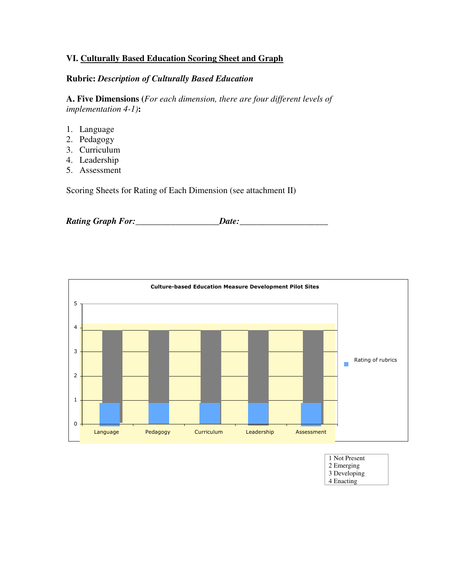#### **VI. Culturally Based Education Scoring Sheet and Graph**

#### **Rubric:** *Description of Culturally Based Education*

**A. Five Dimensions (***For each dimension, there are four different levels of implementation 4-1)***:** 

- 1. Language
- 2. Pedagogy
- 3. Curriculum
- 4. Leadership
- 5. Assessment

Scoring Sheets for Rating of Each Dimension (see attachment II)

*Rating Graph For:***\_\_\_\_\_\_\_\_\_\_\_\_\_\_\_\_\_\_\_***Date:***\_\_\_\_\_\_\_\_\_\_\_\_\_\_\_\_\_\_\_\_**



| 1 Not Present |  |
|---------------|--|
| 2 Emerging    |  |
| 3 Developing  |  |
| 4 Enacting    |  |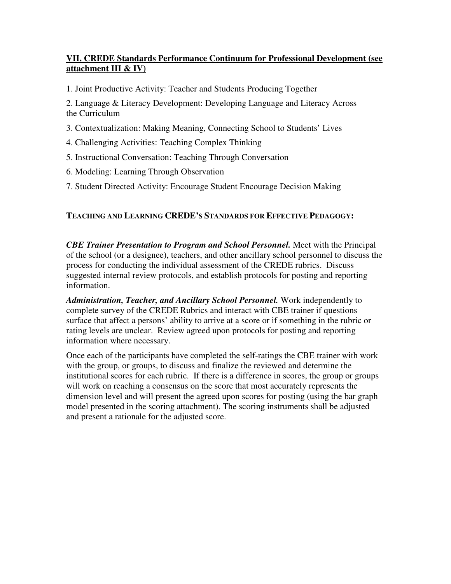## **VII. CREDE Standards Performance Continuum for Professional Development (see attachment III & IV)**

1. Joint Productive Activity: Teacher and Students Producing Together

2. Language & Literacy Development: Developing Language and Literacy Across the Curriculum

3. Contextualization: Making Meaning, Connecting School to Students' Lives

- 4. Challenging Activities: Teaching Complex Thinking
- 5. Instructional Conversation: Teaching Through Conversation
- 6. Modeling: Learning Through Observation
- 7. Student Directed Activity: Encourage Student Encourage Decision Making

## **TEACHING AND LEARNING CREDE'S STANDARDS FOR EFFECTIVE PEDAGOGY:**

*CBE Trainer Presentation to Program and School Personnel.* Meet with the Principal of the school (or a designee), teachers, and other ancillary school personnel to discuss the process for conducting the individual assessment of the CREDE rubrics. Discuss suggested internal review protocols, and establish protocols for posting and reporting information.

*Administration, Teacher, and Ancillary School Personnel.* Work independently to complete survey of the CREDE Rubrics and interact with CBE trainer if questions surface that affect a persons' ability to arrive at a score or if something in the rubric or rating levels are unclear. Review agreed upon protocols for posting and reporting information where necessary.

Once each of the participants have completed the self-ratings the CBE trainer with work with the group, or groups, to discuss and finalize the reviewed and determine the institutional scores for each rubric. If there is a difference in scores, the group or groups will work on reaching a consensus on the score that most accurately represents the dimension level and will present the agreed upon scores for posting (using the bar graph model presented in the scoring attachment). The scoring instruments shall be adjusted and present a rationale for the adjusted score.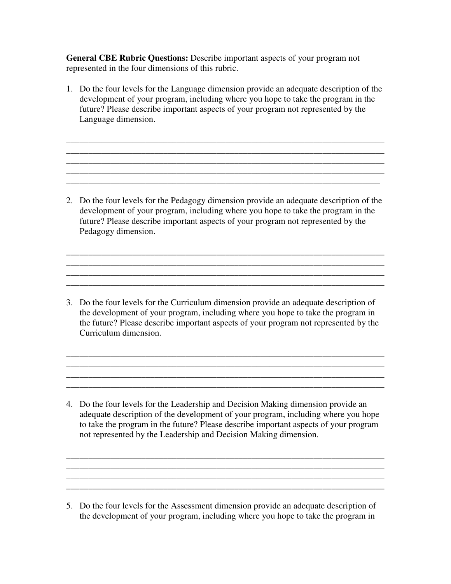**General CBE Rubric Questions:** Describe important aspects of your program not represented in the four dimensions of this rubric.

1. Do the four levels for the Language dimension provide an adequate description of the development of your program, including where you hope to take the program in the future? Please describe important aspects of your program not represented by the Language dimension.

\_\_\_\_\_\_\_\_\_\_\_\_\_\_\_\_\_\_\_\_\_\_\_\_\_\_\_\_\_\_\_\_\_\_\_\_\_\_\_\_\_\_\_\_\_\_\_\_\_\_\_\_\_\_\_\_\_\_\_\_\_\_\_\_\_\_\_\_\_\_\_\_ \_\_\_\_\_\_\_\_\_\_\_\_\_\_\_\_\_\_\_\_\_\_\_\_\_\_\_\_\_\_\_\_\_\_\_\_\_\_\_\_\_\_\_\_\_\_\_\_\_\_\_\_\_\_\_\_\_\_\_\_\_\_\_\_\_\_\_\_\_\_\_\_  $\mathcal{L}_\mathcal{L} = \{ \mathcal{L}_\mathcal{L} = \{ \mathcal{L}_\mathcal{L} = \{ \mathcal{L}_\mathcal{L} = \{ \mathcal{L}_\mathcal{L} = \{ \mathcal{L}_\mathcal{L} = \{ \mathcal{L}_\mathcal{L} = \{ \mathcal{L}_\mathcal{L} = \{ \mathcal{L}_\mathcal{L} = \{ \mathcal{L}_\mathcal{L} = \{ \mathcal{L}_\mathcal{L} = \{ \mathcal{L}_\mathcal{L} = \{ \mathcal{L}_\mathcal{L} = \{ \mathcal{L}_\mathcal{L} = \{ \mathcal{L}_\mathcal{$ \_\_\_\_\_\_\_\_\_\_\_\_\_\_\_\_\_\_\_\_\_\_\_\_\_\_\_\_\_\_\_\_\_\_\_\_\_\_\_\_\_\_\_\_\_\_\_\_\_\_\_\_\_\_\_\_\_\_\_\_\_\_\_\_\_\_\_\_\_\_\_\_ \_\_\_\_\_\_\_\_\_\_\_\_\_\_\_\_\_\_\_\_\_\_\_\_\_\_\_\_\_\_\_\_\_\_\_\_\_\_\_\_\_\_\_\_\_\_\_\_\_\_\_\_\_\_\_\_\_\_\_\_\_\_\_\_\_\_\_\_\_\_\_

2. Do the four levels for the Pedagogy dimension provide an adequate description of the development of your program, including where you hope to take the program in the future? Please describe important aspects of your program not represented by the Pedagogy dimension.

\_\_\_\_\_\_\_\_\_\_\_\_\_\_\_\_\_\_\_\_\_\_\_\_\_\_\_\_\_\_\_\_\_\_\_\_\_\_\_\_\_\_\_\_\_\_\_\_\_\_\_\_\_\_\_\_\_\_\_\_\_\_\_\_\_\_\_\_\_\_\_\_ \_\_\_\_\_\_\_\_\_\_\_\_\_\_\_\_\_\_\_\_\_\_\_\_\_\_\_\_\_\_\_\_\_\_\_\_\_\_\_\_\_\_\_\_\_\_\_\_\_\_\_\_\_\_\_\_\_\_\_\_\_\_\_\_\_\_\_\_\_\_\_\_

\_\_\_\_\_\_\_\_\_\_\_\_\_\_\_\_\_\_\_\_\_\_\_\_\_\_\_\_\_\_\_\_\_\_\_\_\_\_\_\_\_\_\_\_\_\_\_\_\_\_\_\_\_\_\_\_\_\_\_\_\_\_\_\_\_\_\_\_\_\_\_\_

\_\_\_\_\_\_\_\_\_\_\_\_\_\_\_\_\_\_\_\_\_\_\_\_\_\_\_\_\_\_\_\_\_\_\_\_\_\_\_\_\_\_\_\_\_\_\_\_\_\_\_\_\_\_\_\_\_\_\_\_\_\_\_\_\_\_\_\_\_\_\_\_

 $\_$  ,  $\_$  ,  $\_$  ,  $\_$  ,  $\_$  ,  $\_$  ,  $\_$  ,  $\_$  ,  $\_$  ,  $\_$  ,  $\_$  ,  $\_$  ,  $\_$  ,  $\_$  ,  $\_$  ,  $\_$  ,  $\_$  ,  $\_$  ,  $\_$  ,  $\_$ 

3. Do the four levels for the Curriculum dimension provide an adequate description of the development of your program, including where you hope to take the program in the future? Please describe important aspects of your program not represented by the Curriculum dimension.

\_\_\_\_\_\_\_\_\_\_\_\_\_\_\_\_\_\_\_\_\_\_\_\_\_\_\_\_\_\_\_\_\_\_\_\_\_\_\_\_\_\_\_\_\_\_\_\_\_\_\_\_\_\_\_\_\_\_\_\_\_\_\_\_\_\_\_\_\_\_\_\_

4. Do the four levels for the Leadership and Decision Making dimension provide an adequate description of the development of your program, including where you hope to take the program in the future? Please describe important aspects of your program not represented by the Leadership and Decision Making dimension.

\_\_\_\_\_\_\_\_\_\_\_\_\_\_\_\_\_\_\_\_\_\_\_\_\_\_\_\_\_\_\_\_\_\_\_\_\_\_\_\_\_\_\_\_\_\_\_\_\_\_\_\_\_\_\_\_\_\_\_\_\_\_\_\_\_\_\_\_\_\_\_\_

\_\_\_\_\_\_\_\_\_\_\_\_\_\_\_\_\_\_\_\_\_\_\_\_\_\_\_\_\_\_\_\_\_\_\_\_\_\_\_\_\_\_\_\_\_\_\_\_\_\_\_\_\_\_\_\_\_\_\_\_\_\_\_\_\_\_\_\_\_\_\_\_  $\overline{\phantom{a}}$  , and the set of the set of the set of the set of the set of the set of the set of the set of the set of the set of the set of the set of the set of the set of the set of the set of the set of the set of the s

 $\overline{a_1}$  ,  $\overline{a_2}$  ,  $\overline{a_3}$  ,  $\overline{a_4}$  ,  $\overline{a_5}$  ,  $\overline{a_6}$  ,  $\overline{a_7}$  ,  $\overline{a_8}$  ,  $\overline{a_9}$  ,  $\overline{a_9}$  ,  $\overline{a_9}$  ,  $\overline{a_9}$  ,  $\overline{a_9}$  ,  $\overline{a_9}$  ,  $\overline{a_9}$  ,  $\overline{a_9}$  ,  $\overline{a_9}$  ,

<sup>5.</sup> Do the four levels for the Assessment dimension provide an adequate description of the development of your program, including where you hope to take the program in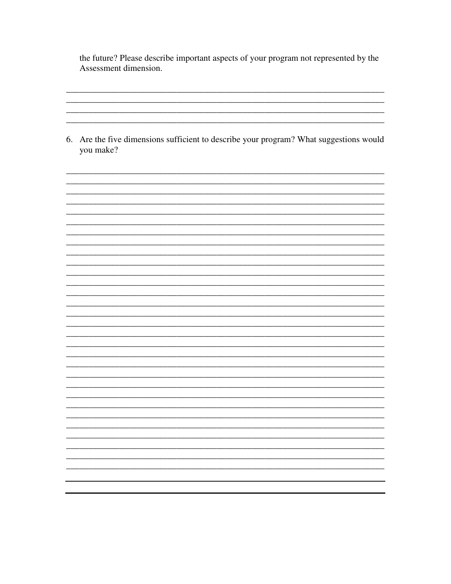the future? Please describe important aspects of your program not represented by the Assessment dimension.

6. Are the five dimensions sufficient to describe your program? What suggestions would you make?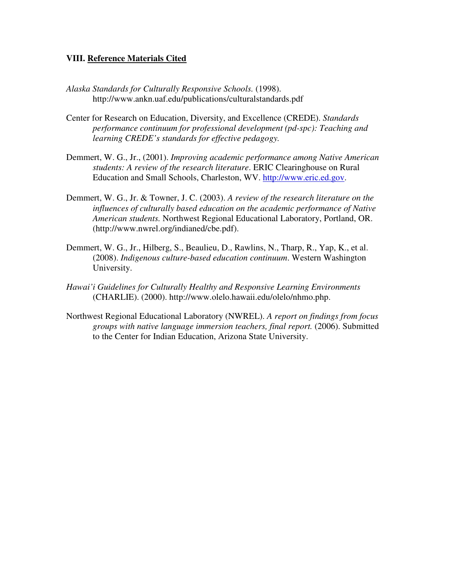#### **VIII. Reference Materials Cited**

- *Alaska Standards for Culturally Responsive Schools.* (1998). http://www.ankn.uaf.edu/publications/culturalstandards.pdf
- Center for Research on Education, Diversity, and Excellence (CREDE). *Standards performance continuum for professional development (pd-spc): Teaching and learning CREDE's standards for effective pedagogy.*
- Demmert, W. G., Jr., (2001). *Improving academic performance among Native American students: A review of the research literature*. ERIC Clearinghouse on Rural Education and Small Schools, Charleston, WV. http://www.eric.ed.gov.
- Demmert, W. G., Jr. & Towner, J. C. (2003). *A review of the research literature on the influences of culturally based education on the academic performance of Native American students.* Northwest Regional Educational Laboratory, Portland, OR. (http://www.nwrel.org/indianed/cbe.pdf).
- Demmert, W. G., Jr., Hilberg, S., Beaulieu, D., Rawlins, N., Tharp, R., Yap, K., et al. (2008). *Indigenous culture-based education continuum*. Western Washington University.
- *Hawai'i Guidelines for Culturally Healthy and Responsive Learning Environments*  (CHARLIE). (2000). http://www.olelo.hawaii.edu/olelo/nhmo.php.
- Northwest Regional Educational Laboratory (NWREL). *A report on findings from focus groups with native language immersion teachers, final report.* (2006). Submitted to the Center for Indian Education, Arizona State University.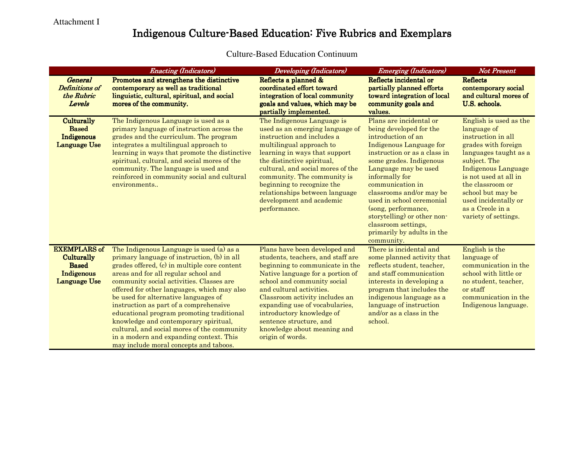# Indigenous Culture-Based Education: Five Rubrics and Exemplars

|                                                                                        | <b>Enacting (Indicators)</b>                                                                                                                                                                                                                                                                                                                                                                                                                                                                                                                                                           | <b>Developing (Indicators)</b>                                                                                                                                                                                                                                                                                                                                                      | <b>Emerging (Indicators)</b>                                                                                                                                                                                                                                                                                                                                                                                   | <b>Not Present</b>                                                                                                                                                                                                                                                                              |
|----------------------------------------------------------------------------------------|----------------------------------------------------------------------------------------------------------------------------------------------------------------------------------------------------------------------------------------------------------------------------------------------------------------------------------------------------------------------------------------------------------------------------------------------------------------------------------------------------------------------------------------------------------------------------------------|-------------------------------------------------------------------------------------------------------------------------------------------------------------------------------------------------------------------------------------------------------------------------------------------------------------------------------------------------------------------------------------|----------------------------------------------------------------------------------------------------------------------------------------------------------------------------------------------------------------------------------------------------------------------------------------------------------------------------------------------------------------------------------------------------------------|-------------------------------------------------------------------------------------------------------------------------------------------------------------------------------------------------------------------------------------------------------------------------------------------------|
| <b>General</b><br><b>Definitions of</b><br>the Rubric<br>Levels                        | Promotes and strengthens the distinctive<br>contemporary as well as traditional<br>linguistic, cultural, spiritual, and social<br>mores of the community.                                                                                                                                                                                                                                                                                                                                                                                                                              | Reflects a planned &<br>coordinated effort toward<br>integration of local community<br>goals and values, which may be<br>partially implemented.                                                                                                                                                                                                                                     | Reflects incidental or<br>partially planned efforts<br>toward integration of local<br>community goals and<br>values.                                                                                                                                                                                                                                                                                           | <b>Reflects</b><br>contemporary social<br>and cultural mores of<br>U.S. schools.                                                                                                                                                                                                                |
| Culturally<br><b>Based</b><br>Indigenous<br>Language Use                               | The Indigenous Language is used as a<br>primary language of instruction across the<br>grades and the curriculum. The program<br>integrates a multilingual approach to<br>learning in ways that promote the distinctive<br>spiritual, cultural, and social mores of the<br>community. The language is used and<br>reinforced in community social and cultural<br>environments                                                                                                                                                                                                           | The Indigenous Language is<br>used as an emerging language of<br>instruction and includes a<br>multilingual approach to<br>learning in ways that support<br>the distinctive spiritual,<br>cultural, and social mores of the<br>community. The community is<br>beginning to recognize the<br>relationships between language<br>development and academic<br>performance.              | Plans are incidental or<br>being developed for the<br>introduction of an<br>Indigenous Language for<br>instruction or as a class in<br>some grades. Indigenous<br>Language may be used<br>informally for<br>communication in<br>classrooms and/or may be<br>used in school ceremonial<br>(song, performance,<br>storytelling) or other non-<br>classroom settings,<br>primarily by adults in the<br>community. | English is used as the<br>language of<br>instruction in all<br>grades with foreign<br>languages taught as a<br>subject. The<br><b>Indigenous Language</b><br>is not used at all in<br>the classroom or<br>school but may be<br>used incidentally or<br>as a Creole in a<br>variety of settings. |
| <b>EXEMPLARS of</b><br><b>Culturally</b><br><b>Based</b><br>Indigenous<br>Language Use | The Indigenous Language is used (a) as a<br>primary language of instruction, (b) in all<br>grades offered, (c) in multiple core content<br>areas and for all regular school and<br>community social activities. Classes are<br>offered for other languages, which may also<br>be used for alternative languages of<br>instruction as part of a comprehensive<br>educational program promoting traditional<br>knowledge and contemporary spiritual,<br>cultural, and social mores of the community<br>in a modern and expanding context. This<br>may include moral concepts and taboos. | Plans have been developed and<br>students, teachers, and staff are<br>beginning to communicate in the<br>Native language for a portion of<br>school and community social<br>and cultural activities.<br>Classroom activity includes an<br>expanding use of vocabularies,<br>introductory knowledge of<br>sentence structure, and<br>knowledge about meaning and<br>origin of words. | There is incidental and<br>some planned activity that<br>reflects student, teacher,<br>and staff communication<br>interests in developing a<br>program that includes the<br>indigenous language as a<br>language of instruction<br>and/or as a class in the<br>school.                                                                                                                                         | English is the<br>language of<br>communication in the<br>school with little or<br>no student, teacher,<br>or staff<br>communication in the<br>Indigenous language.                                                                                                                              |

#### Culture-Based Education Continuum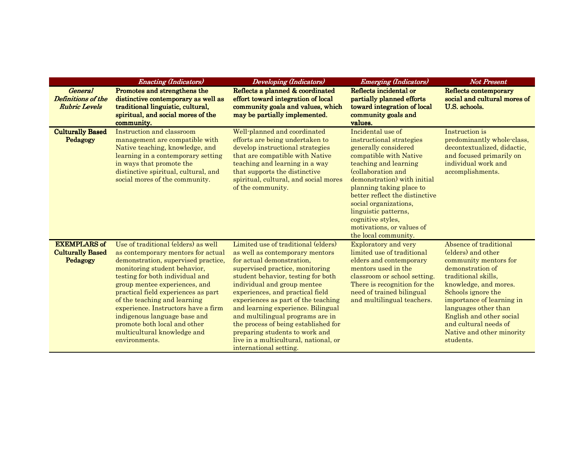|                                                              | <b>Enacting (Indicators)</b>                                                                                                                                                                                                                                                                                                                                                                                                                       | <b>Developing</b> (Indicators)                                                                                                                                                                                                                                                                                                                                                                                                                                                                                | <b>Emerging (Indicators)</b>                                                                                                                                                                                                                                                                                                                                           | <b>Not Present</b>                                                                                                                                                                                                                                                                                                  |
|--------------------------------------------------------------|----------------------------------------------------------------------------------------------------------------------------------------------------------------------------------------------------------------------------------------------------------------------------------------------------------------------------------------------------------------------------------------------------------------------------------------------------|---------------------------------------------------------------------------------------------------------------------------------------------------------------------------------------------------------------------------------------------------------------------------------------------------------------------------------------------------------------------------------------------------------------------------------------------------------------------------------------------------------------|------------------------------------------------------------------------------------------------------------------------------------------------------------------------------------------------------------------------------------------------------------------------------------------------------------------------------------------------------------------------|---------------------------------------------------------------------------------------------------------------------------------------------------------------------------------------------------------------------------------------------------------------------------------------------------------------------|
| <b>General</b><br>Definitions of the<br><b>Rubric Levels</b> | Promotes and strengthens the<br>distinctive contemporary as well as<br>traditional linguistic, cultural,<br>spiritual, and social mores of the<br>community.                                                                                                                                                                                                                                                                                       | Reflects a planned & coordinated<br>effort toward integration of local<br>community goals and values, which<br>may be partially implemented.                                                                                                                                                                                                                                                                                                                                                                  | Reflects incidental or<br>partially planned efforts<br>toward integration of local<br>community goals and<br>values.                                                                                                                                                                                                                                                   | Reflects contemporary<br>social and cultural mores of<br>U.S. schools.                                                                                                                                                                                                                                              |
| <b>Culturally Based</b><br>Pedagogy                          | Instruction and classroom<br>management are compatible with<br>Native teaching, knowledge, and<br>learning in a contemporary setting<br>in ways that promote the<br>distinctive spiritual, cultural, and<br>social mores of the community.                                                                                                                                                                                                         | Well-planned and coordinated<br>efforts are being undertaken to<br>develop instructional strategies<br>that are compatible with Native<br>teaching and learning in a way<br>that supports the distinctive<br>spiritual, cultural, and social mores<br>of the community.                                                                                                                                                                                                                                       | Incidental use of<br>instructional strategies<br>generally considered<br>compatible with Native<br>teaching and learning<br>(collaboration and<br>demonstration) with initial<br>planning taking place to<br>better reflect the distinctive<br>social organizations,<br>linguistic patterns,<br>cognitive styles,<br>motivations, or values of<br>the local community. | Instruction is<br>predominantly whole-class,<br>decontextualized, didactic,<br>and focused primarily on<br>individual work and<br>accomplishments.                                                                                                                                                                  |
| <b>EXEMPLARS of</b><br><b>Culturally Based</b><br>Pedagogy   | Use of traditional (elders) as well<br>as contemporary mentors for actual<br>demonstration, supervised practice,<br>monitoring student behavior,<br>testing for both individual and<br>group mentee experiences, and<br>practical field experiences as part<br>of the teaching and learning<br>experience. Instructors have a firm<br>indigenous language base and<br>promote both local and other<br>multicultural knowledge and<br>environments. | Limited use of traditional (elders)<br>as well as contemporary mentors<br>for actual demonstration,<br>supervised practice, monitoring<br>student behavior, testing for both<br>individual and group mentee<br>experiences, and practical field<br>experiences as part of the teaching<br>and learning experience. Bilingual<br>and multilingual programs are in<br>the process of being established for<br>preparing students to work and<br>live in a multicultural, national, or<br>international setting. | <b>Exploratory and very</b><br>limited use of traditional<br>elders and contemporary<br>mentors used in the<br>classroom or school setting.<br>There is recognition for the<br>need of trained bilingual<br>and multilingual teachers.                                                                                                                                 | Absence of traditional<br>(elders) and other<br>community mentors for<br>demonstration of<br>traditional skills,<br>knowledge, and mores.<br>Schools ignore the<br>importance of learning in<br>languages other than<br>English and other social<br>and cultural needs of<br>Native and other minority<br>students. |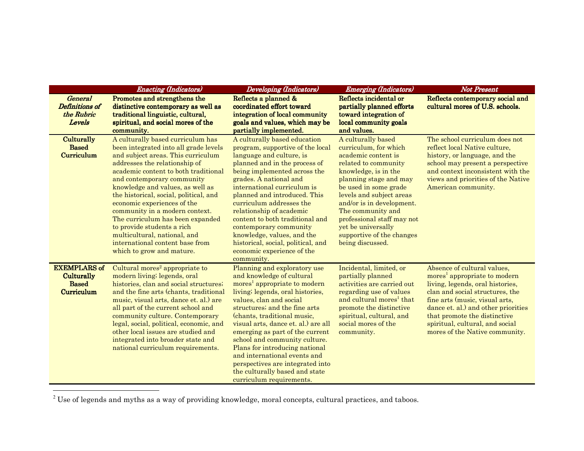|                                                                        | <b>Enacting (Indicators)</b>                                                                                                                                                                                                                                                                                                                                                                                                                                                                                                             | <b>Developing (Indicators)</b>                                                                                                                                                                                                                                                                                                                                                                                                                                                                                      | Emerging (Indicators)                                                                                                                                                                                                                                                                                                                                    | <b>Not Present</b>                                                                                                                                                                                                                                                                                                           |
|------------------------------------------------------------------------|------------------------------------------------------------------------------------------------------------------------------------------------------------------------------------------------------------------------------------------------------------------------------------------------------------------------------------------------------------------------------------------------------------------------------------------------------------------------------------------------------------------------------------------|---------------------------------------------------------------------------------------------------------------------------------------------------------------------------------------------------------------------------------------------------------------------------------------------------------------------------------------------------------------------------------------------------------------------------------------------------------------------------------------------------------------------|----------------------------------------------------------------------------------------------------------------------------------------------------------------------------------------------------------------------------------------------------------------------------------------------------------------------------------------------------------|------------------------------------------------------------------------------------------------------------------------------------------------------------------------------------------------------------------------------------------------------------------------------------------------------------------------------|
| <b>General</b><br>Definitions of<br>the Rubric<br>Levels               | Promotes and strengthens the<br>distinctive contemporary as well as<br>traditional linguistic, cultural,<br>spiritual, and social mores of the<br>community.                                                                                                                                                                                                                                                                                                                                                                             | Reflects a planned &<br>coordinated effort toward<br>integration of local community<br>goals and values, which may be<br>partially implemented.                                                                                                                                                                                                                                                                                                                                                                     | Reflects incidental or<br>partially planned efforts<br>toward integration of<br>local community goals<br>and values.                                                                                                                                                                                                                                     | Reflects contemporary social and<br>cultural mores of U.S. schools.                                                                                                                                                                                                                                                          |
| <b>Culturally</b><br><b>Based</b><br>Curriculum                        | A culturally based curriculum has<br>been integrated into all grade levels<br>and subject areas. This curriculum<br>addresses the relationship of<br>academic content to both traditional<br>and contemporary community<br>knowledge and values, as well as<br>the historical, social, political, and<br>economic experiences of the<br>community in a modern context.<br>The curriculum has been expanded<br>to provide students a rich<br>multicultural, national, and<br>international content base from<br>which to grow and mature. | A culturally based education<br>program, supportive of the local<br>language and culture, is<br>planned and in the process of<br>being implemented across the<br>grades. A national and<br>international curriculum is<br>planned and introduced. This<br>curriculum addresses the<br>relationship of academic<br>content to both traditional and<br>contemporary community<br>knowledge, values, and the<br>historical, social, political, and<br>economic experience of the<br>community.                         | A culturally based<br>curriculum, for which<br>academic content is<br>related to community<br>knowledge, is in the<br>planning stage and may<br>be used in some grade<br>levels and subject areas<br>and/or is in development.<br>The community and<br>professional staff may not<br>yet be universally<br>supportive of the changes<br>being discussed. | The school curriculum does not<br>reflect local Native culture,<br>history, or language, and the<br>school may present a perspective<br>and context inconsistent with the<br>views and priorities of the Native<br>American community.                                                                                       |
| <b>EXEMPLARS of</b><br><b>Culturally</b><br><b>Based</b><br>Curriculum | Cultural mores <sup>2</sup> appropriate to<br>modern living; legends, oral<br>histories, clan and social structures;<br>and the fine arts (chants, traditional<br>music, visual arts, dance et. al.) are<br>all part of the current school and<br>community culture. Contemporary<br>legal, social, political, economic, and<br>other local issues are studied and<br>integrated into broader state and<br>national curriculum requirements.                                                                                             | Planning and exploratory use<br>and knowledge of cultural<br>mores <sup>1</sup> appropriate to modern<br>living; legends, oral histories,<br>values, clan and social<br>structures; and the fine arts<br>(chants, traditional music,<br>visual arts, dance et. al.) are all<br>emerging as part of the current<br>school and community culture.<br>Plans for introducing national<br>and international events and<br>perspectives are integrated into<br>the culturally based and state<br>curriculum requirements. | Incidental, limited, or<br>partially planned<br>activities are carried out<br>regarding use of values<br>and cultural mores <sup>1</sup> that<br>promote the distinctive<br>spiritual, cultural, and<br>social mores of the<br>community.                                                                                                                | Absence of cultural values.<br>mores <sup>1</sup> appropriate to modern<br>living, legends, oral histories,<br>clan and social structures, the<br>fine arts (music, visual arts,<br>dance et. al.) and other priorities<br>that promote the distinctive<br>spiritual, cultural, and social<br>mores of the Native community. |

 $^2$  Use of legends and myths as a way of providing knowledge, moral concepts, cultural practices, and taboos.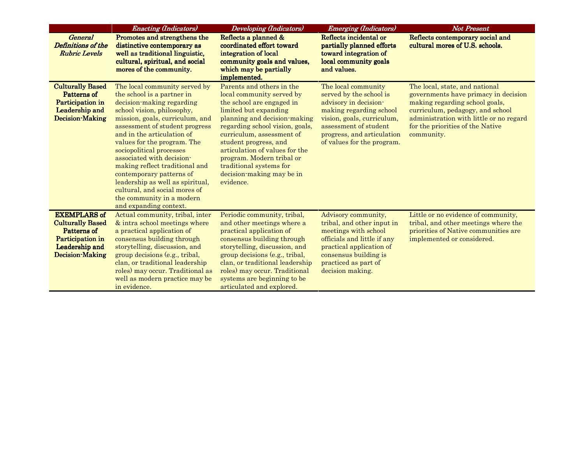|                                                                                                                        | <b>Enacting (Indicators)</b>                                                                                                                                                                                                                                                                                                                                                                                                                                                                                | <b>Developing (Indicators)</b>                                                                                                                                                                                                                                                                                                                                            | <b>Emerging (Indicators)</b>                                                                                                                                                                                          | <b>Not Present</b>                                                                                                                                                                                                                        |
|------------------------------------------------------------------------------------------------------------------------|-------------------------------------------------------------------------------------------------------------------------------------------------------------------------------------------------------------------------------------------------------------------------------------------------------------------------------------------------------------------------------------------------------------------------------------------------------------------------------------------------------------|---------------------------------------------------------------------------------------------------------------------------------------------------------------------------------------------------------------------------------------------------------------------------------------------------------------------------------------------------------------------------|-----------------------------------------------------------------------------------------------------------------------------------------------------------------------------------------------------------------------|-------------------------------------------------------------------------------------------------------------------------------------------------------------------------------------------------------------------------------------------|
| <b>General</b><br><b>Definitions of the</b><br><b>Rubric Levels</b>                                                    | Promotes and strengthens the<br>distinctive contemporary as<br>well as traditional linguistic,<br>cultural, spiritual, and social<br>mores of the community.                                                                                                                                                                                                                                                                                                                                                | Reflects a planned &<br>coordinated effort toward<br>integration of local<br>community goals and values,<br>which may be partially<br>implemented.                                                                                                                                                                                                                        | Reflects incidental or<br>partially planned efforts<br>toward integration of<br>local community goals<br>and values.                                                                                                  | Reflects contemporary social and<br>cultural mores of U.S. schools.                                                                                                                                                                       |
| <b>Culturally Based</b><br>Patterns of<br>Participation in<br>Leadership and<br>Decision-Making                        | The local community served by<br>the school is a partner in<br>decision-making regarding<br>school vision, philosophy,<br>mission, goals, curriculum, and<br>assessment of student progress<br>and in the articulation of<br>values for the program. The<br>sociopolitical processes<br>associated with decision-<br>making reflect traditional and<br>contemporary patterns of<br>leadership as well as spiritual,<br>cultural, and social mores of<br>the community in a modern<br>and expanding context. | Parents and others in the<br>local community served by<br>the school are engaged in<br>limited but expanding<br>planning and decision-making<br>regarding school vision, goals,<br>curriculum, assessment of<br>student progress, and<br>articulation of values for the<br>program. Modern tribal or<br>traditional systems for<br>decision-making may be in<br>evidence. | The local community<br>served by the school is<br>advisory in decision-<br>making regarding school<br>vision, goals, curriculum,<br>assessment of student<br>progress, and articulation<br>of values for the program. | The local, state, and national<br>governments have primacy in decision<br>making regarding school goals,<br>curriculum, pedagogy, and school<br>administration with little or no regard<br>for the priorities of the Native<br>community. |
| <b>EXEMPLARS of</b><br><b>Culturally Based</b><br>Patterns of<br>Participation in<br>Leadership and<br>Decision-Making | Actual community, tribal, inter<br>& intra school meetings where<br>a practical application of<br>consensus building through<br>storytelling, discussion, and<br>group decisions (e.g., tribal,<br>clan, or traditional leadership<br>roles) may occur. Traditional as<br>well as modern practice may be<br>in evidence.                                                                                                                                                                                    | Periodic community, tribal,<br>and other meetings where a<br>practical application of<br>consensus building through<br>storytelling, discussion, and<br>group decisions (e.g., tribal,<br>clan, or traditional leadership<br>roles) may occur. Traditional<br>systems are beginning to be<br>articulated and explored.                                                    | Advisory community,<br>tribal, and other input in<br>meetings with school<br>officials and little if any<br>practical application of<br>consensus building is<br>practiced as part of<br>decision making.             | Little or no evidence of community,<br>tribal, and other meetings where the<br>priorities of Native communities are<br>implemented or considered.                                                                                         |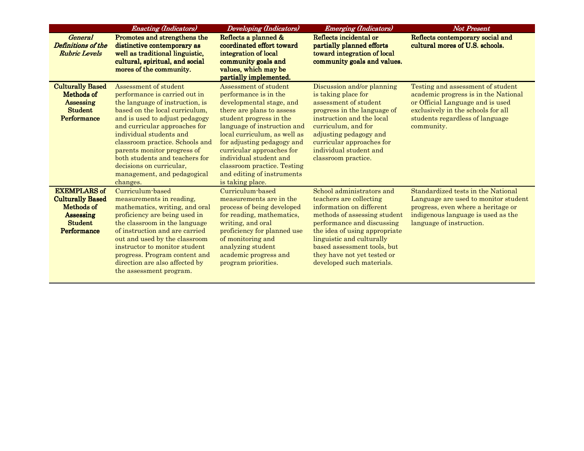|                                                                                                                   | <b>Enacting (Indicators)</b>                                                                                                                                                                                                                                                                                                                                                                         | <b>Developing (Indicators)</b>                                                                                                                                                                                                                                                                                                                                          | <b>Emerging (Indicators)</b>                                                                                                                                                                                                                                                                            | <b>Not Present</b>                                                                                                                                                                                   |
|-------------------------------------------------------------------------------------------------------------------|------------------------------------------------------------------------------------------------------------------------------------------------------------------------------------------------------------------------------------------------------------------------------------------------------------------------------------------------------------------------------------------------------|-------------------------------------------------------------------------------------------------------------------------------------------------------------------------------------------------------------------------------------------------------------------------------------------------------------------------------------------------------------------------|---------------------------------------------------------------------------------------------------------------------------------------------------------------------------------------------------------------------------------------------------------------------------------------------------------|------------------------------------------------------------------------------------------------------------------------------------------------------------------------------------------------------|
| <b>General</b><br>Definitions of the<br><b>Rubric Levels</b>                                                      | Promotes and strengthens the<br>distinctive contemporary as<br>well as traditional linguistic,<br>cultural, spiritual, and social<br>mores of the community.                                                                                                                                                                                                                                         | Reflects a planned &<br>coordinated effort toward<br>integration of local<br>community goals and<br>values, which may be<br>partially implemented.                                                                                                                                                                                                                      | Reflects incidental or<br>partially planned efforts<br>toward integration of local<br>community goals and values.                                                                                                                                                                                       | Reflects contemporary social and<br>cultural mores of U.S. schools.                                                                                                                                  |
| <b>Culturally Based</b><br>Methods of<br><b>Assessing</b><br><b>Student</b><br>Performance                        | Assessment of student<br>performance is carried out in<br>the language of instruction, is<br>based on the local curriculum.<br>and is used to adjust pedagogy<br>and curricular approaches for<br>individual students and<br>classroom practice. Schools and<br>parents monitor progress of<br>both students and teachers for<br>decisions on curricular,<br>management, and pedagogical<br>changes. | Assessment of student<br>performance is in the<br>developmental stage, and<br>there are plans to assess<br>student progress in the<br>language of instruction and<br>local curriculum, as well as<br>for adjusting pedagogy and<br>curricular approaches for<br>individual student and<br>classroom practice. Testing<br>and editing of instruments<br>is taking place. | Discussion and/or planning<br>is taking place for<br>assessment of student<br>progress in the language of<br>instruction and the local<br>curriculum, and for<br>adjusting pedagogy and<br>curricular approaches for<br>individual student and<br>classroom practice.                                   | Testing and assessment of student<br>academic progress is in the National<br>or Official Language and is used<br>exclusively in the schools for all<br>students regardless of language<br>community. |
| <b>EXEMPLARS of</b><br><b>Culturally Based</b><br>Methods of<br>Assessing<br><b>Student</b><br><b>Performance</b> | Curriculum-based<br>measurements in reading,<br>mathematics, writing, and oral<br>proficiency are being used in<br>the classroom in the language<br>of instruction and are carried<br>out and used by the classroom<br>instructor to monitor student<br>progress. Program content and<br>direction are also affected by<br>the assessment program.                                                   | Curriculum-based<br>measurements are in the<br>process of being developed<br>for reading, mathematics,<br>writing, and oral<br>proficiency for planned use<br>of monitoring and<br>analyzing student<br>academic progress and<br>program priorities.                                                                                                                    | School administrators and<br>teachers are collecting<br>information on different<br>methods of assessing student<br>performance and discussing<br>the idea of using appropriate<br>linguistic and culturally<br>based assessment tools, but<br>they have not yet tested or<br>developed such materials. | Standardized tests in the National<br>Language are used to monitor student<br>progress, even where a heritage or<br>indigenous language is used as the<br>language of instruction.                   |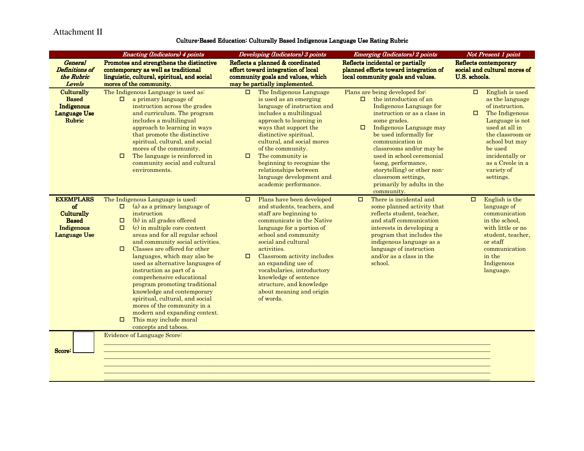#### Attachment II

#### Culture-Based Education: Culturally Based Indigenous Language Use Rating Rubric

|                                                                                           | <b>Enacting (Indicators) 4 points</b>                                                                                                                                                                                                                                                                                                                                                                                                                                                                                                                                                                                                                    | Developing (Indicators) 3 points                                                                                                                                                                                                                                                                                                                                                                            | <b>Emerging (Indicators) 2 points</b>                                                                                                                                                                                                                                                                                                                                                                              | Not Present 1 point                                                                                                                                                                                                                            |
|-------------------------------------------------------------------------------------------|----------------------------------------------------------------------------------------------------------------------------------------------------------------------------------------------------------------------------------------------------------------------------------------------------------------------------------------------------------------------------------------------------------------------------------------------------------------------------------------------------------------------------------------------------------------------------------------------------------------------------------------------------------|-------------------------------------------------------------------------------------------------------------------------------------------------------------------------------------------------------------------------------------------------------------------------------------------------------------------------------------------------------------------------------------------------------------|--------------------------------------------------------------------------------------------------------------------------------------------------------------------------------------------------------------------------------------------------------------------------------------------------------------------------------------------------------------------------------------------------------------------|------------------------------------------------------------------------------------------------------------------------------------------------------------------------------------------------------------------------------------------------|
| <b>General</b><br>Definitions of<br>the Rubric<br>Levels                                  | Promotes and strengthens the distinctive<br>contemporary as well as traditional<br>linguistic, cultural, spiritual, and social<br>mores of the community.                                                                                                                                                                                                                                                                                                                                                                                                                                                                                                | Reflects a planned & coordinated<br>effort toward integration of local<br>community goals and values, which<br>may be partially implemented.                                                                                                                                                                                                                                                                | Reflects incidental or partially<br>planned efforts toward integration of<br>local community goals and values.                                                                                                                                                                                                                                                                                                     | Reflects contemporary<br>social and cultural mores of<br><b>U.S. schools.</b>                                                                                                                                                                  |
| Culturally<br><b>Based</b><br>Indigenous<br><b>Language Use</b><br><b>Rubric</b>          | The Indigenous Language is used as:<br>a primary language of<br>$\Box$<br>instruction across the grades<br>and curriculum. The program<br>includes a multilingual<br>approach to learning in ways<br>that promote the distinctive<br>spiritual, cultural, and social<br>mores of the community.<br>The language is reinforced in<br>$\Box$<br>community social and cultural<br>environments.                                                                                                                                                                                                                                                             | The Indigenous Language<br>$\Box$<br>is used as an emerging<br>language of instruction and<br>includes a multilingual<br>approach to learning in<br>ways that support the<br>distinctive spiritual,<br>cultural, and social mores<br>of the community.<br>The community is<br>$\Box$<br>beginning to recognize the<br>relationships between<br>language development and<br>academic performance.            | Plans are being developed for:<br>the introduction of an<br>$\Box$<br>Indigenous Language for<br>instruction or as a class in<br>some grades.<br>Indigenous Language may<br>$\Box$<br>be used informally for<br>communication in<br>classrooms and/or may be<br>used in school ceremonial<br>(song, performance,<br>storytelling) or other non-<br>classroom settings,<br>primarily by adults in the<br>community. | English is used<br>$\Box$<br>as the language<br>of instruction.<br>The Indigenous<br>□<br>Language is not<br>used at all in<br>the classroom or<br>school but may<br>be used<br>incidentally or<br>as a Creole in a<br>variety of<br>settings. |
| <b>EXEMPLARS</b><br>of<br>Culturally<br><b>Based</b><br>Indigenous<br><b>Language Use</b> | The Indigenous Language is used:<br>(a) as a primary language of<br>$\Box$<br>instruction<br>(b) in all grades offered<br>$\Box$<br>$\Box$<br>(c) in multiple core content<br>areas and for all regular school<br>and community social activities.<br>Classes are offered for other<br>$\Box$<br>languages, which may also be<br>used as alternative languages of<br>instruction as part of a<br>comprehensive educational<br>program promoting traditional<br>knowledge and contemporary<br>spiritual, cultural, and social<br>mores of the community in a<br>modern and expanding context.<br>This may include moral<br>$\Box$<br>concepts and taboos. | Plans have been developed<br>□<br>and students, teachers, and<br>staff are beginning to<br>communicate in the Native<br>language for a portion of<br>school and community<br>social and cultural<br>activities.<br>Classroom activity includes<br>$\Box$<br>an expanding use of<br>vocabularies, introductory<br>knowledge of sentence<br>structure, and knowledge<br>about meaning and origin<br>of words. | There is incidental and<br>$\Box$<br>some planned activity that<br>reflects student, teacher,<br>and staff communication<br>interests in developing a<br>program that includes the<br>indigenous language as a<br>language of instruction<br>and/or as a class in the<br>school.                                                                                                                                   | English is the<br>$\Box$<br>language of<br>communication<br>in the school,<br>with little or no<br>student, teacher,<br>or staff<br>communication<br>in the<br>Indigenous<br>language.                                                         |
| Score:                                                                                    | Evidence of Language Score:                                                                                                                                                                                                                                                                                                                                                                                                                                                                                                                                                                                                                              |                                                                                                                                                                                                                                                                                                                                                                                                             |                                                                                                                                                                                                                                                                                                                                                                                                                    |                                                                                                                                                                                                                                                |

\_\_\_\_\_\_\_\_\_\_\_\_\_\_\_\_\_\_\_\_\_\_\_\_\_\_\_\_\_\_\_\_\_\_\_\_\_\_\_\_\_\_\_\_\_\_\_\_\_\_\_\_\_\_\_\_\_\_\_\_\_\_\_\_\_\_\_\_\_\_\_\_\_\_\_\_\_\_\_\_\_\_\_\_\_\_\_\_\_\_\_\_\_\_\_\_\_\_\_\_\_\_\_\_\_\_\_\_\_\_\_\_\_\_\_\_\_\_\_\_\_\_\_\_\_\_\_\_\_\_\_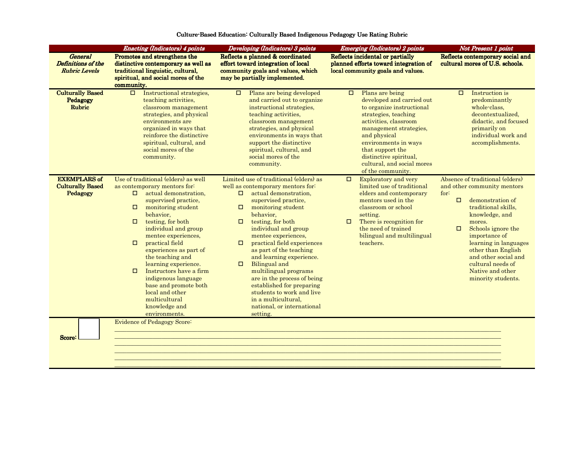|                                                              | <b>Enacting (Indicators) 4 points</b>                                                                                                                                                                                                                                                                                                                                                                                                                                                                              | Developing (Indicators) 3 points                                                                                                                                                                                                                                                                                                                                                                                                                                                                                                                                           | <b>Emerging (Indicators) 2 points</b>                                                                                                                                                                                                                                                                   | Not Present 1 point                                                                                                                                                                                                                                                                                                                            |
|--------------------------------------------------------------|--------------------------------------------------------------------------------------------------------------------------------------------------------------------------------------------------------------------------------------------------------------------------------------------------------------------------------------------------------------------------------------------------------------------------------------------------------------------------------------------------------------------|----------------------------------------------------------------------------------------------------------------------------------------------------------------------------------------------------------------------------------------------------------------------------------------------------------------------------------------------------------------------------------------------------------------------------------------------------------------------------------------------------------------------------------------------------------------------------|---------------------------------------------------------------------------------------------------------------------------------------------------------------------------------------------------------------------------------------------------------------------------------------------------------|------------------------------------------------------------------------------------------------------------------------------------------------------------------------------------------------------------------------------------------------------------------------------------------------------------------------------------------------|
| <b>General</b><br>Definitions of the<br><b>Rubric Levels</b> | Promotes and strengthens the<br>distinctive contemporary as well as<br>traditional linguistic, cultural,<br>spiritual, and social mores of the<br>community.                                                                                                                                                                                                                                                                                                                                                       | Reflects a planned & coordinated<br>effort toward integration of local<br>community goals and values, which<br>may be partially implemented.                                                                                                                                                                                                                                                                                                                                                                                                                               | Reflects incidental or partially<br>planned efforts toward integration of<br>local community goals and values.                                                                                                                                                                                          | Reflects contemporary social and<br>cultural mores of U.S. schools.                                                                                                                                                                                                                                                                            |
| <b>Culturally Based</b><br>Pedagogy<br><b>Rubric</b>         | $\Box$<br>Instructional strategies,<br>teaching activities,<br>classroom management<br>strategies, and physical<br>environments are<br>organized in ways that<br>reinforce the distinctive<br>spiritual, cultural, and<br>social mores of the<br>community.                                                                                                                                                                                                                                                        | Plans are being developed<br>$\Box$<br>and carried out to organize<br>instructional strategies.<br>teaching activities,<br>classroom management<br>strategies, and physical<br>environments in ways that<br>support the distinctive<br>spiritual, cultural, and<br>social mores of the<br>community.                                                                                                                                                                                                                                                                       | Plans are being<br>$\Box$<br>developed and carried out<br>to organize instructional<br>strategies, teaching<br>activities, classroom<br>management strategies,<br>and physical<br>environments in ways<br>that support the<br>distinctive spiritual,<br>cultural, and social mores<br>of the community. | $\Box$<br>Instruction is<br>predominantly<br>whole-class.<br>decontextualized.<br>didactic, and focused<br>primarily on<br>individual work and<br>accomplishments.                                                                                                                                                                             |
| <b>EXEMPLARS of</b><br><b>Culturally Based</b><br>Pedagogy   | Use of traditional (elders) as well<br>as contemporary mentors for:<br>actual demonstration,<br>□<br>supervised practice,<br>monitoring student<br>$\Box$<br>behavior,<br>testing, for both<br>$\Box$<br>individual and group<br>mentee experiences,<br>practical field<br>$\Box$<br>experiences as part of<br>the teaching and<br>learning experience.<br>Instructors have a firm<br>$\Box$<br>indigenous language<br>base and promote both<br>local and other<br>multicultural<br>knowledge and<br>environments. | Limited use of traditional (elders) as<br>well as contemporary mentors for:<br>actual demonstration,<br>$\Box$<br>supervised practice,<br>$\Box$<br>monitoring student<br>behavior,<br>testing, for both<br>$\Box$<br>individual and group<br>mentee experiences,<br>practical field experiences<br>□<br>as part of the teaching<br>and learning experience.<br>Bilingual and<br>$\Box$<br>multilingual programs<br>are in the process of being<br>established for preparing<br>students to work and live<br>in a multicultural.<br>national, or international<br>setting. | <b>Exploratory and very</b><br>$\Box$<br>limited use of traditional<br>elders and contemporary<br>mentors used in the<br>classroom or school<br>setting.<br>There is recognition for<br>0<br>the need of trained<br>bilingual and multilingual<br>teachers.                                             | Absence of traditional (elders)<br>and other community mentors<br>for:<br>$\Box$<br>demonstration of<br>traditional skills.<br>knowledge, and<br>mores.<br>$\Box$<br>Schools ignore the<br>importance of<br>learning in languages<br>other than English<br>and other social and<br>cultural needs of<br>Native and other<br>minority students. |
| Score <sup>:</sup>                                           | <b>Evidence of Pedagogy Score:</b>                                                                                                                                                                                                                                                                                                                                                                                                                                                                                 |                                                                                                                                                                                                                                                                                                                                                                                                                                                                                                                                                                            |                                                                                                                                                                                                                                                                                                         |                                                                                                                                                                                                                                                                                                                                                |

\_\_\_\_\_\_\_\_\_\_\_\_\_\_\_\_\_\_\_\_\_\_\_\_\_\_\_\_\_\_\_\_\_\_\_\_\_\_\_\_\_\_\_\_\_\_\_\_\_\_\_\_\_\_\_\_\_\_\_\_\_\_\_\_\_\_\_\_\_\_\_\_\_\_\_\_\_\_\_\_\_\_\_\_\_\_\_\_\_\_\_\_\_\_\_\_\_\_\_\_\_\_\_\_\_\_\_\_\_\_\_\_\_\_\_\_\_\_\_\_\_\_\_\_\_\_\_\_\_\_\_

#### Culture-Based Education: Culturally Based Indigenous Pedagogy Use Rating Rubric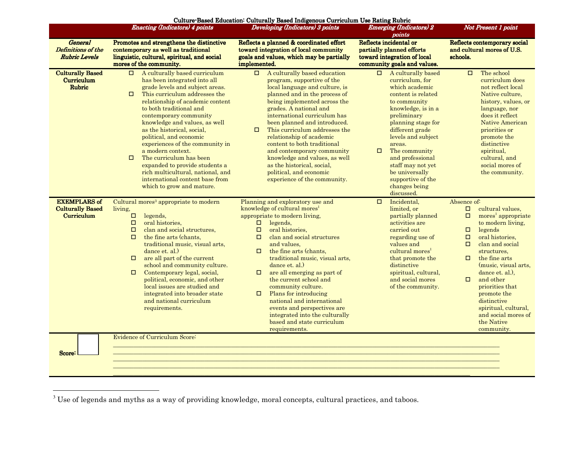|                                                              | <b>Enacting (Indicators) 4 points</b>                                                                                                                                                                                                                                                                                                                                                                                                                                                                                                                                     | Culture Based Education: Culturally Based Indigenous Curriculum Use Rating Rubric<br>Developing (Indicators) 3 points                                                                                                                                                                                                                                                                                                                                                                                                                                                                      | <b>Emerging (Indicators) 2</b>                                                                                                                                                                                                                                                                                                                                  | Not Present 1 point                                                                                                                                                                                                                                                                                                                                                                                                               |  |  |  |  |
|--------------------------------------------------------------|---------------------------------------------------------------------------------------------------------------------------------------------------------------------------------------------------------------------------------------------------------------------------------------------------------------------------------------------------------------------------------------------------------------------------------------------------------------------------------------------------------------------------------------------------------------------------|--------------------------------------------------------------------------------------------------------------------------------------------------------------------------------------------------------------------------------------------------------------------------------------------------------------------------------------------------------------------------------------------------------------------------------------------------------------------------------------------------------------------------------------------------------------------------------------------|-----------------------------------------------------------------------------------------------------------------------------------------------------------------------------------------------------------------------------------------------------------------------------------------------------------------------------------------------------------------|-----------------------------------------------------------------------------------------------------------------------------------------------------------------------------------------------------------------------------------------------------------------------------------------------------------------------------------------------------------------------------------------------------------------------------------|--|--|--|--|
|                                                              |                                                                                                                                                                                                                                                                                                                                                                                                                                                                                                                                                                           |                                                                                                                                                                                                                                                                                                                                                                                                                                                                                                                                                                                            | points                                                                                                                                                                                                                                                                                                                                                          |                                                                                                                                                                                                                                                                                                                                                                                                                                   |  |  |  |  |
| <b>General</b><br>Definitions of the<br><b>Rubric Levels</b> | Promotes and strengthens the distinctive<br>contemporary as well as traditional<br>linguistic, cultural, spiritual, and social<br>mores of the community.                                                                                                                                                                                                                                                                                                                                                                                                                 | Reflects a planned & coordinated effort<br>toward integration of local community<br>goals and values, which may be partially<br>implemented.                                                                                                                                                                                                                                                                                                                                                                                                                                               | Reflects incidental or<br>partially planned efforts<br>toward integration of local<br>community goals and values.                                                                                                                                                                                                                                               | Reflects contemporary social<br>and cultural mores of U.S.<br>schools.                                                                                                                                                                                                                                                                                                                                                            |  |  |  |  |
| <b>Culturally Based</b><br>Curriculum<br>Rubric              | $\Box$ A culturally based curriculum<br>has been integrated into all<br>grade levels and subject areas.<br>This curriculum addresses the<br>$\Box$<br>relationship of academic content<br>to both traditional and<br>contemporary community<br>knowledge and values, as well<br>as the historical, social,<br>political, and economic<br>experiences of the community in<br>a modern context.<br>The curriculum has been<br>$\Box$<br>expanded to provide students a<br>rich multicultural, national, and<br>international content base from<br>which to grow and mature. | $\Box$<br>A culturally based education<br>program, supportive of the<br>local language and culture, is<br>planned and in the process of<br>being implemented across the<br>grades. A national and<br>international curriculum has<br>been planned and introduced.<br>This curriculum addresses the<br>$\Box$<br>relationship of academic<br>content to both traditional<br>and contemporary community<br>knowledge and values, as well<br>as the historical, social,<br>political, and economic<br>experience of the community.                                                            | A culturally based<br>$\Box$<br>curriculum, for<br>which academic<br>content is related<br>to community<br>knowledge, is in a<br>preliminary<br>planning stage for<br>different grade<br>levels and subject<br>areas.<br>$\Box$<br>The community<br>and professional<br>staff may not yet<br>be universally<br>supportive of the<br>changes being<br>discussed. | The school<br>0<br>curriculum does<br>not reflect local<br>Native culture,<br>history, values, or<br>language, nor<br>does it reflect<br><b>Native American</b><br>priorities or<br>promote the<br>distinctive<br>spiritual,<br>cultural, and<br>social mores of<br>the community.                                                                                                                                                |  |  |  |  |
| <b>EXEMPLARS of</b><br><b>Culturally Based</b><br>Curriculum | Cultural mores <sup>3</sup> appropriate to modern<br>living,<br>$\Box$<br>legends,<br>$\Box$<br>oral histories.<br>clan and social structures,<br>$\Box$<br>$\Box$<br>the fine arts (chants.<br>traditional music, visual arts,<br>dance et. al.)<br>are all part of the current<br>$\Box$<br>school and community culture.<br>Contemporary legal, social,<br>$\Box$<br>political, economic, and other<br>local issues are studied and<br>integrated into broader state<br>and national curriculum<br>requirements.                                                       | Planning and exploratory use and<br>knowledge of cultural mores <sup>1</sup><br>appropriate to modern living,<br>$\Box$<br>legends,<br>oral histories,<br>$\Box$<br>clan and social structures<br>$\Box$<br>and values.<br>the fine arts (chants,<br>$\Box$<br>traditional music, visual arts,<br>dance et. al.)<br>are all emerging as part of<br>$\Box$<br>the current school and<br>community culture.<br>Plans for introducing<br>$\Box$<br>national and international<br>events and perspectives are<br>integrated into the culturally<br>based and state curriculum<br>requirements. | $\Box$<br>Incidental.<br>limited.or<br>partially planned<br>activities are<br>carried out<br>regarding use of<br>values and<br>cultural mores <sup>1</sup><br>that promote the<br>distinctive<br>spiritual, cultural,<br>and social mores<br>of the community.                                                                                                  | Absence of:<br>$\Box$<br>cultural values.<br>$\Box$<br>mores <sup>1</sup> appropriate<br>to modern living,<br>$\Box$<br>legends<br>oral histories.<br>$\Box$<br>clan and social<br>$\Box$<br>structures.<br>$\Box$<br>the fine arts<br>(music, visual arts,<br>dance et. al.).<br>and other<br>$\Box$<br>priorities that<br>promote the<br>distinctive<br>spiritual, cultural,<br>and social mores of<br>the Native<br>community. |  |  |  |  |
| Score:                                                       | Evidence of Curriculum Score:                                                                                                                                                                                                                                                                                                                                                                                                                                                                                                                                             |                                                                                                                                                                                                                                                                                                                                                                                                                                                                                                                                                                                            |                                                                                                                                                                                                                                                                                                                                                                 |                                                                                                                                                                                                                                                                                                                                                                                                                                   |  |  |  |  |

 $3$  Use of legends and myths as a way of providing knowledge, moral concepts, cultural practices, and taboos.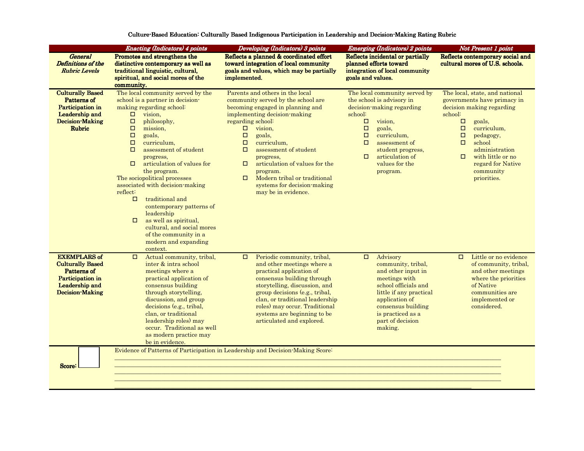|                         | <b>Enacting (Indicators) 4 points</b>               | Developing (Indicators) 3 points                                               | <b>Emerging (Indicators) 2 points</b> | Not Present 1 point                                                                     |  |  |  |  |
|-------------------------|-----------------------------------------------------|--------------------------------------------------------------------------------|---------------------------------------|-----------------------------------------------------------------------------------------|--|--|--|--|
| <b>General</b>          | Promotes and strengthens the                        | Reflects a planned & coordinated effort                                        | Reflects incidental or partially      | Reflects contemporary social and                                                        |  |  |  |  |
| Definitions of the      | distinctive contemporary as well as                 | toward integration of local community                                          | planned efforts toward                | cultural mores of U.S. schools.                                                         |  |  |  |  |
| <b>Rubric Levels</b>    | traditional linguistic, cultural,                   | goals and values, which may be partially                                       | integration of local community        |                                                                                         |  |  |  |  |
|                         | spiritual, and social mores of the                  | implemented.                                                                   | goals and values.                     |                                                                                         |  |  |  |  |
|                         | community.                                          |                                                                                |                                       |                                                                                         |  |  |  |  |
| <b>Culturally Based</b> | The local community served by the                   | Parents and others in the local                                                | The local community served by         | The local, state, and national                                                          |  |  |  |  |
| Patterns of             | school is a partner in decision-                    | community served by the school are                                             | the school is advisory in             | governments have primacy in<br>decision making regarding<br>school:<br>$\Box$<br>goals. |  |  |  |  |
| Participation in        | making regarding school:                            | becoming engaged in planning and                                               | decision-making regarding             |                                                                                         |  |  |  |  |
| Leadership and          | $\Box$<br>vision,                                   | implementing decision-making                                                   | school:                               |                                                                                         |  |  |  |  |
| <b>Decision-Making</b>  | $\Box$<br>philosophy,                               | regarding school:                                                              | $\Box$<br>vision,                     |                                                                                         |  |  |  |  |
| <b>Rubric</b>           | $\Box$<br>mission,                                  | $\Box$<br>vision,                                                              | $\Box$<br>goals,                      | $\Box$<br>curriculum,                                                                   |  |  |  |  |
|                         | $\Box$<br>goals.                                    | $\Box$<br>goals,                                                               | $\Box$<br>curriculum,                 | $\Box$<br>pedagogy,                                                                     |  |  |  |  |
|                         | $\Box$<br>curriculum,                               | $\Box$<br>curriculum,                                                          | $\Box$<br>assessment of               | $\Box$<br>school                                                                        |  |  |  |  |
|                         | $\Box$<br>assessment of student                     | $\Box$<br>assessment of student                                                | student progress.                     | administration                                                                          |  |  |  |  |
|                         | progress,                                           | progress.                                                                      | articulation of<br>$\Box$             | with little or no<br>$\Box$                                                             |  |  |  |  |
|                         | $\Box$<br>articulation of values for                | articulation of values for the<br>□                                            | values for the                        | regard for Native                                                                       |  |  |  |  |
|                         | the program.                                        | program.                                                                       | program.                              | community                                                                               |  |  |  |  |
|                         | The sociopolitical processes                        | Modern tribal or traditional<br>$\Box$                                         |                                       | priorities.                                                                             |  |  |  |  |
|                         | associated with decision-making                     | systems for decision-making                                                    |                                       |                                                                                         |  |  |  |  |
|                         | reflect:                                            | may be in evidence.                                                            |                                       |                                                                                         |  |  |  |  |
|                         | traditional and<br>$\Box$                           |                                                                                |                                       |                                                                                         |  |  |  |  |
|                         | contemporary patterns of                            |                                                                                |                                       |                                                                                         |  |  |  |  |
|                         | leadership                                          |                                                                                |                                       |                                                                                         |  |  |  |  |
|                         | as well as spiritual,<br>$\Box$                     |                                                                                |                                       |                                                                                         |  |  |  |  |
|                         | cultural, and social mores                          |                                                                                |                                       |                                                                                         |  |  |  |  |
|                         | of the community in a                               |                                                                                |                                       |                                                                                         |  |  |  |  |
|                         | modern and expanding                                |                                                                                |                                       |                                                                                         |  |  |  |  |
|                         | context.                                            |                                                                                |                                       |                                                                                         |  |  |  |  |
| <b>EXEMPLARS of</b>     | Actual community, tribal,<br>$\Box$                 | Periodic community, tribal,<br>$\Box$                                          | Advisory<br>$\Box$                    | Little or no evidence<br>$\Box$                                                         |  |  |  |  |
| <b>Culturally Based</b> | inter & intra school                                | and other meetings where a                                                     | community, tribal,                    | of community, tribal,                                                                   |  |  |  |  |
| Patterns of             | meetings where a                                    | practical application of                                                       | and other input in                    | and other meetings                                                                      |  |  |  |  |
| Participation in        | practical application of                            | consensus building through                                                     | meetings with                         | where the priorities                                                                    |  |  |  |  |
| Leadership and          | consensus building                                  | storytelling, discussion, and                                                  | school officials and                  | of Native                                                                               |  |  |  |  |
| <b>Decision-Making</b>  | through storytelling,                               | group decisions (e.g., tribal,                                                 | little if any practical               | communities are                                                                         |  |  |  |  |
|                         | discussion, and group                               | clan, or traditional leadership                                                | application of                        | implemented or                                                                          |  |  |  |  |
|                         | decisions (e.g., tribal,                            | roles) may occur. Traditional                                                  | consensus building                    | considered.                                                                             |  |  |  |  |
|                         | clan, or traditional                                | systems are beginning to be                                                    | is practiced as a                     |                                                                                         |  |  |  |  |
|                         | leadership roles) may<br>occur. Traditional as well | articulated and explored.                                                      | part of decision                      |                                                                                         |  |  |  |  |
|                         |                                                     |                                                                                | making.                               |                                                                                         |  |  |  |  |
|                         | as modern practice may<br>be in evidence.           |                                                                                |                                       |                                                                                         |  |  |  |  |
|                         |                                                     | Evidence of Patterns of Participation in Leadership and Decision-Making Score: |                                       |                                                                                         |  |  |  |  |
|                         |                                                     |                                                                                |                                       |                                                                                         |  |  |  |  |
|                         |                                                     |                                                                                |                                       |                                                                                         |  |  |  |  |
| Score:                  |                                                     |                                                                                |                                       |                                                                                         |  |  |  |  |
|                         |                                                     |                                                                                |                                       |                                                                                         |  |  |  |  |
|                         |                                                     |                                                                                |                                       |                                                                                         |  |  |  |  |

\_\_\_\_\_\_\_\_\_\_\_\_\_\_\_\_\_\_\_\_\_\_\_\_\_\_\_\_\_\_\_\_\_\_\_\_\_\_\_\_\_\_\_\_\_\_\_\_\_\_\_\_\_\_\_\_\_\_\_\_\_\_\_\_\_\_\_\_\_\_\_\_\_\_\_\_\_\_\_\_\_\_\_\_\_\_\_\_\_\_\_\_\_\_\_\_\_\_\_\_\_\_\_\_\_\_\_\_\_\_\_\_\_\_\_\_\_\_\_\_\_

Culture-Based Education: Culturally Based Indigenous Participation in Leadership and Decision-Making Rating Rubric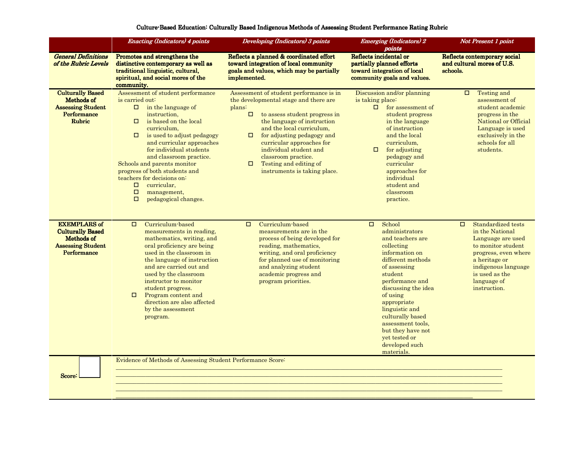|                                                                                                         | <b>Enacting (Indicators) 4 points</b>                                                                                                                                                                                                                                                                                                                                                                                                                               | Developing (Indicators) 3 points                                                                                                                                                                                                                                                                                                                                                            | <b>Emerging (Indicators) 2</b><br>points                                                                                                                                                                                                                                                                                                     | <b>Not Present 1 point</b>                                                                                                                                                                                  |  |  |  |  |
|---------------------------------------------------------------------------------------------------------|---------------------------------------------------------------------------------------------------------------------------------------------------------------------------------------------------------------------------------------------------------------------------------------------------------------------------------------------------------------------------------------------------------------------------------------------------------------------|---------------------------------------------------------------------------------------------------------------------------------------------------------------------------------------------------------------------------------------------------------------------------------------------------------------------------------------------------------------------------------------------|----------------------------------------------------------------------------------------------------------------------------------------------------------------------------------------------------------------------------------------------------------------------------------------------------------------------------------------------|-------------------------------------------------------------------------------------------------------------------------------------------------------------------------------------------------------------|--|--|--|--|
| <b>General Definitions</b><br>of the Rubric Levels                                                      | Promotes and strengthens the<br>distinctive contemporary as well as<br>traditional linguistic, cultural,<br>spiritual, and social mores of the<br>community.                                                                                                                                                                                                                                                                                                        | Reflects a planned & coordinated effort<br>toward integration of local community<br>goals and values, which may be partially<br>implemented.                                                                                                                                                                                                                                                | Reflects incidental or<br>partially planned efforts<br>toward integration of local<br>community goals and values.                                                                                                                                                                                                                            | Reflects contemporary social<br>and cultural mores of U.S.<br>schools.                                                                                                                                      |  |  |  |  |
| <b>Culturally Based</b><br>Methods of<br><b>Assessing Student</b><br>Performance<br>Rubric              | Assessment of student performance<br>is carried out:<br>in the language of<br>$\Box$<br>instruction,<br>is based on the local<br>$\Box$<br>curriculum.<br>$\Box$<br>is used to adjust pedagogy<br>and curricular approaches<br>for individual students<br>and classroom practice.<br>Schools and parents monitor<br>progress of both students and<br>teachers for decisions on:<br>curricular.<br>$\Box$<br>$\Box$<br>management,<br>$\Box$<br>pedagogical changes. | Assessment of student performance is in<br>the developmental stage and there are<br>plans:<br>$\Box$<br>to assess student progress in<br>the language of instruction<br>and the local curriculum,<br>for adjusting pedagogy and<br>$\Box$<br>curricular approaches for<br>individual student and<br>classroom practice.<br>Testing and editing of<br>$\Box$<br>instruments is taking place. | Discussion and/or planning<br>is taking place:<br>for assessment of<br>student progress<br>in the language<br>of instruction<br>and the local<br>curriculum,<br>□<br>for adjusting<br>pedagogy and<br>curricular<br>approaches for<br>individual<br>student and<br>classroom<br>practice.                                                    | Testing and<br>$\Box$<br>assessment of<br>student academic<br>progress in the<br>National or Official<br>Language is used<br>exclusively in the<br>schools for all<br>students.                             |  |  |  |  |
| <b>EXEMPLARS of</b><br><b>Culturally Based</b><br>Methods of<br><b>Assessing Student</b><br>Performance | Curriculum-based<br>$\Box$<br>measurements in reading,<br>mathematics, writing, and<br>oral proficiency are being<br>used in the classroom in<br>the language of instruction<br>and are carried out and<br>used by the classroom<br>instructor to monitor<br>student progress.<br>□<br>Program content and<br>direction are also affected<br>by the assessment<br>program.                                                                                          | Curriculum-based<br>$\Box$<br>measurements are in the<br>process of being developed for<br>reading, mathematics,<br>writing, and oral proficiency<br>for planned use of monitoring<br>and analyzing student<br>academic progress and<br>program priorities.                                                                                                                                 | School<br>$\Box$<br>administrators<br>and teachers are<br>collecting<br>information on<br>different methods<br>of assessing<br>student<br>performance and<br>discussing the idea<br>of using<br>appropriate<br>linguistic and<br>culturally based<br>assessment tools.<br>but they have not<br>yet tested or<br>developed such<br>materials. | Standardized tests<br>$\Box$<br>in the National<br>Language are used<br>to monitor student<br>progress, even where<br>a heritage or<br>indigenous language<br>is used as the<br>language of<br>instruction. |  |  |  |  |
| Score:                                                                                                  | Evidence of Methods of Assessing Student Performance Score:                                                                                                                                                                                                                                                                                                                                                                                                         |                                                                                                                                                                                                                                                                                                                                                                                             |                                                                                                                                                                                                                                                                                                                                              |                                                                                                                                                                                                             |  |  |  |  |

\_\_\_\_\_\_\_\_\_\_\_\_\_\_\_\_\_\_\_\_\_\_\_\_\_\_\_\_\_\_\_\_\_\_\_\_\_\_\_\_\_\_\_\_\_\_\_\_\_\_\_\_\_\_\_\_\_\_\_\_\_\_\_\_\_\_\_\_\_\_\_\_\_\_\_\_\_\_\_\_\_\_\_\_\_\_\_\_\_\_\_\_\_\_\_\_\_\_\_\_\_\_\_\_\_\_\_\_\_\_\_\_\_\_\_\_\_\_\_\_\_

#### Culture-Based Education: Culturally Based Indigenous Methods of Assessing Student Performance Rating Rubric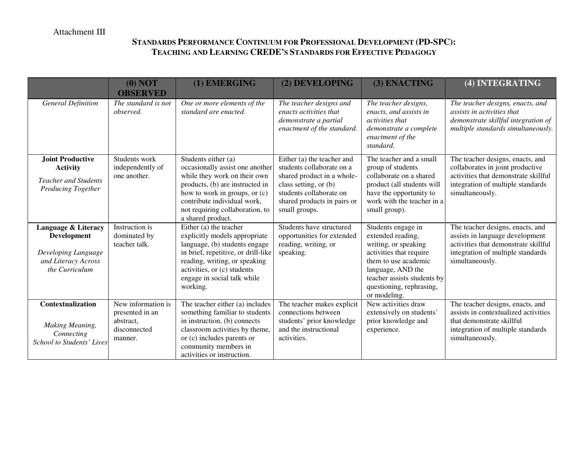## **STANDARDS PERFORMANCE CONTINUUM FOR PROFESSIONAL DEVELOPMENT (PD-SPC): TEACHING AND LEARNING CREDE'S STANDARDS FOR EFFECTIVE PEDAGOGY**

|                                                                                                        | (0) NOT<br><b>OBSERVED</b>                                                    | (1) EMERGING                                                                                                                                                                                                                                      | (2) DEVELOPING                                                                                                                                                                            | (3) ENACTING                                                                                                                                                                                                       | (4) INTEGRATING                                                                                                                                                      |
|--------------------------------------------------------------------------------------------------------|-------------------------------------------------------------------------------|---------------------------------------------------------------------------------------------------------------------------------------------------------------------------------------------------------------------------------------------------|-------------------------------------------------------------------------------------------------------------------------------------------------------------------------------------------|--------------------------------------------------------------------------------------------------------------------------------------------------------------------------------------------------------------------|----------------------------------------------------------------------------------------------------------------------------------------------------------------------|
| <b>General Definition</b>                                                                              | The standard is not<br>observed.                                              | One or more elements of the<br>standard are enacted.                                                                                                                                                                                              | The teacher designs and<br>enacts activities that<br>demonstrate a partial<br>enactment of the standard.                                                                                  | The teacher designs,<br>enacts, and assists in<br><i>activities that</i><br>demonstrate a complete<br>enactment of the<br>standard.                                                                                | The teacher designs, enacts, and<br>assists in activities that<br>demonstrate skillful integration of<br>multiple standards simultaneously.                          |
| <b>Joint Productive</b><br><b>Activity</b><br><b>Teacher and Students</b><br><b>Producing Together</b> | Students work<br>independently of<br>one another.                             | Students either (a)<br>occasionally assist one another<br>while they work on their own<br>products, (b) are instructed in<br>how to work in groups, or (c)<br>contribute individual work,<br>not requiring collaboration, to<br>a shared product. | Either (a) the teacher and<br>students collaborate on a<br>shared product in a whole-<br>class setting, or (b)<br>students collaborate on<br>shared products in pairs or<br>small groups. | The teacher and a small<br>group of students<br>collaborate on a shared<br>product (all students will<br>have the opportunity to<br>work with the teacher in a<br>small group).                                    | The teacher designs, enacts, and<br>collaborates in joint productive<br>activities that demonstrate skillful<br>integration of multiple standards<br>simultaneously. |
| Language & Literacy<br>Development<br>Developing Language<br>and Literacy Across<br>the Curriculum     | Instruction is<br>dominated by<br>teacher talk.                               | Either (a) the teacher<br>explicitly models appropriate<br>language, (b) students engage<br>in brief, repetitive, or drill-like<br>reading, writing, or speaking<br>activities, or (c) students<br>engage in social talk while<br>working.        | Students have structured<br>opportunities for extended<br>reading, writing, or<br>speaking.                                                                                               | Students engage in<br>extended reading,<br>writing, or speaking<br>activities that require<br>them to use academic<br>language, AND the<br>teacher assists students by<br>questioning, rephrasing,<br>or modeling. | The teacher designs, enacts, and<br>assists in language development<br>activities that demonstrate skillful<br>integration of multiple standards<br>simultaneously.  |
| Contextualization<br><b>Making Meaning,</b><br>Connecting<br>School to Students' Lives                 | New information is<br>presented in an<br>abstract.<br>disconnected<br>manner. | The teacher either (a) includes<br>something familiar to students<br>in instruction, (b) connects<br>classroom activities by theme,<br>or (c) includes parents or<br>community members in<br>activities or instruction.                           | The teacher makes explicit<br>connections between<br>students' prior knowledge<br>and the instructional<br>activities.                                                                    | New activities draw<br>extensively on students'<br>prior knowledge and<br>experience.                                                                                                                              | The teacher designs, enacts, and<br>assists in contextualized activities<br>that demonstrate skillful<br>integration of multiple standards<br>simultaneously.        |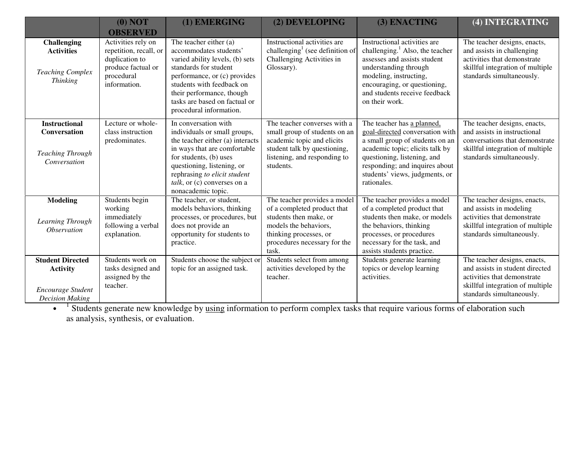|                                                                                           | (0) NOT<br><b>OBSERVED</b>                                                                                         | (1) EMERGING                                                                                                                                                                                                                                                             | (2) DEVELOPING                                                                                                                                                                    | (3) ENACTING                                                                                                                                                                                                                                          | (4) INTEGRATING                                                                                                                                                 |
|-------------------------------------------------------------------------------------------|--------------------------------------------------------------------------------------------------------------------|--------------------------------------------------------------------------------------------------------------------------------------------------------------------------------------------------------------------------------------------------------------------------|-----------------------------------------------------------------------------------------------------------------------------------------------------------------------------------|-------------------------------------------------------------------------------------------------------------------------------------------------------------------------------------------------------------------------------------------------------|-----------------------------------------------------------------------------------------------------------------------------------------------------------------|
| <b>Challenging</b><br><b>Activities</b><br><b>Teaching Complex</b><br><b>Thinking</b>     | Activities rely on<br>repetition, recall, or<br>duplication to<br>produce factual or<br>procedural<br>information. | The teacher either (a)<br>accommodates students'<br>varied ability levels, (b) sets<br>standards for student<br>performance, or (c) provides<br>students with feedback on<br>their performance, though<br>tasks are based on factual or<br>procedural information.       | Instructional activities are<br>challenging <sup>1</sup> (see definition of<br>Challenging Activities in<br>Glossary).                                                            | Instructional activities are<br>challenging. $1$ Also, the teacher<br>assesses and assists student<br>understanding through<br>modeling, instructing,<br>encouraging, or questioning,<br>and students receive feedback<br>on their work.              | The teacher designs, enacts,<br>and assists in challenging<br>activities that demonstrate<br>skillful integration of multiple<br>standards simultaneously.      |
| <b>Instructional</b><br><b>Conversation</b><br><b>Teaching Through</b><br>Conversation    | Lecture or whole-<br>class instruction<br>predominates.                                                            | In conversation with<br>individuals or small groups,<br>the teacher either (a) interacts<br>in ways that are comfortable<br>for students, (b) uses<br>questioning, listening, or<br>rephrasing to elicit student<br>$talk$ , or (c) converses on a<br>nonacademic topic. | The teacher converses with a<br>small group of students on an<br>academic topic and elicits<br>student talk by questioning,<br>listening, and responding to<br>students.          | The teacher has a planned,<br>goal-directed conversation with<br>a small group of students on an<br>academic topic; elicits talk by<br>questioning, listening, and<br>responding; and inquires about<br>students' views, judgments, or<br>rationales. | The teacher designs, enacts,<br>and assists in instructional<br>conversations that demonstrate<br>skillful integration of multiple<br>standards simultaneously. |
| <b>Modeling</b><br>Learning Through<br><i><b>Observation</b></i>                          | Students begin<br>working<br>immediately<br>following a verbal<br>explanation.                                     | The teacher, or student,<br>models behaviors, thinking<br>processes, or procedures, but<br>does not provide an<br>opportunity for students to<br>practice.                                                                                                               | The teacher provides a model<br>of a completed product that<br>students then make, or<br>models the behaviors,<br>thinking processes, or<br>procedures necessary for the<br>task. | The teacher provides a model<br>of a completed product that<br>students then make, or models<br>the behaviors, thinking<br>processes, or procedures<br>necessary for the task, and<br>assists students practice.                                      | The teacher designs, enacts,<br>and assists in modeling<br>activities that demonstrate<br>skillful integration of multiple<br>standards simultaneously.         |
| <b>Student Directed</b><br><b>Activity</b><br>Encourage Student<br><b>Decision Making</b> | Students work on<br>tasks designed and<br>assigned by the<br>teacher.                                              | Students choose the subject or<br>topic for an assigned task.                                                                                                                                                                                                            | Students select from among<br>activities developed by the<br>teacher.                                                                                                             | Students generate learning<br>topics or develop learning<br>activities.                                                                                                                                                                               | The teacher designs, enacts,<br>and assists in student directed<br>activities that demonstrate<br>skillful integration of multiple<br>standards simultaneously. |

 $\bullet$  <sup>1</sup> Students generate new knowledge by using information to perform complex tasks that require various forms of elaboration such as analysis, synthesis, or evaluation.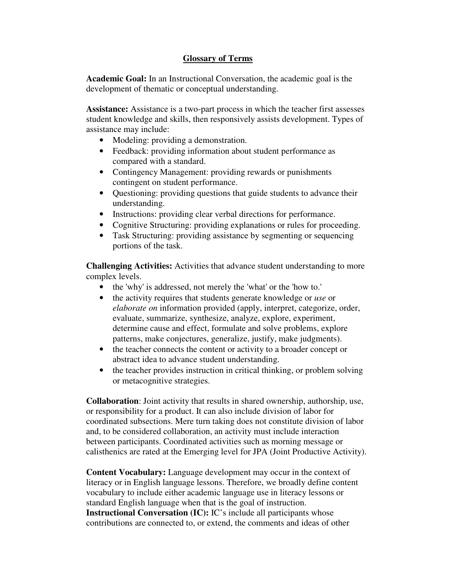#### **Glossary of Terms**

**Academic Goal:** In an Instructional Conversation, the academic goal is the development of thematic or conceptual understanding.

**Assistance:** Assistance is a two-part process in which the teacher first assesses student knowledge and skills, then responsively assists development. Types of assistance may include:

- Modeling: providing a demonstration.
- Feedback: providing information about student performance as compared with a standard.
- Contingency Management: providing rewards or punishments contingent on student performance.
- Questioning: providing questions that guide students to advance their understanding.
- Instructions: providing clear verbal directions for performance.
- Cognitive Structuring: providing explanations or rules for proceeding.
- Task Structuring: providing assistance by segmenting or sequencing portions of the task.

**Challenging Activities:** Activities that advance student understanding to more complex levels.

- the 'why' is addressed, not merely the 'what' or the 'how to.'
- the activity requires that students generate knowledge or *use* or *elaborate on* information provided (apply, interpret, categorize, order, evaluate, summarize, synthesize, analyze, explore, experiment, determine cause and effect, formulate and solve problems, explore patterns, make conjectures, generalize, justify, make judgments).
- the teacher connects the content or activity to a broader concept or abstract idea to advance student understanding.
- the teacher provides instruction in critical thinking, or problem solving or metacognitive strategies.

**Collaboration**: Joint activity that results in shared ownership, authorship, use, or responsibility for a product. It can also include division of labor for coordinated subsections. Mere turn taking does not constitute division of labor and, to be considered collaboration, an activity must include interaction between participants. Coordinated activities such as morning message or calisthenics are rated at the Emerging level for JPA (Joint Productive Activity).

**Content Vocabulary:** Language development may occur in the context of literacy or in English language lessons. Therefore, we broadly define content vocabulary to include either academic language use in literacy lessons or standard English language when that is the goal of instruction. **Instructional Conversation (IC):** IC's include all participants whose contributions are connected to, or extend, the comments and ideas of other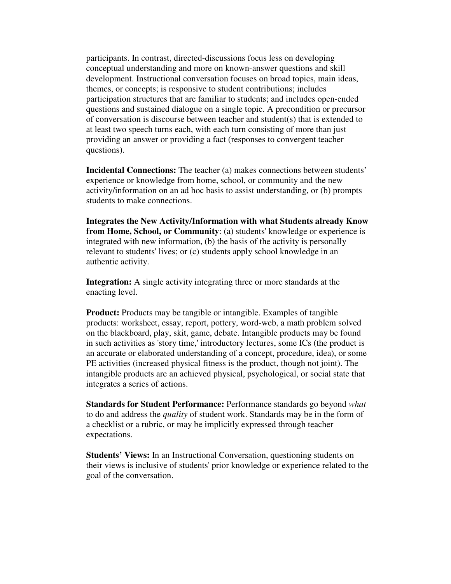participants. In contrast, directed-discussions focus less on developing conceptual understanding and more on known-answer questions and skill development. Instructional conversation focuses on broad topics, main ideas, themes, or concepts; is responsive to student contributions; includes participation structures that are familiar to students; and includes open-ended questions and sustained dialogue on a single topic. A precondition or precursor of conversation is discourse between teacher and student(s) that is extended to at least two speech turns each, with each turn consisting of more than just providing an answer or providing a fact (responses to convergent teacher questions).

**Incidental Connections:** The teacher (a) makes connections between students' experience or knowledge from home, school, or community and the new activity/information on an ad hoc basis to assist understanding, or (b) prompts students to make connections.

**Integrates the New Activity/Information with what Students already Know from Home, School, or Community**: (a) students' knowledge or experience is integrated with new information, (b) the basis of the activity is personally relevant to students' lives; or (c) students apply school knowledge in an authentic activity.

**Integration:** A single activity integrating three or more standards at the enacting level.

**Product:** Products may be tangible or intangible. Examples of tangible products: worksheet, essay, report, pottery, word-web, a math problem solved on the blackboard, play, skit, game, debate. Intangible products may be found in such activities as 'story time,' introductory lectures, some ICs (the product is an accurate or elaborated understanding of a concept, procedure, idea), or some PE activities (increased physical fitness is the product, though not joint). The intangible products are an achieved physical, psychological, or social state that integrates a series of actions.

**Standards for Student Performance:** Performance standards go beyond *what* to do and address the *quality* of student work. Standards may be in the form of a checklist or a rubric, or may be implicitly expressed through teacher expectations.

**Students' Views:** In an Instructional Conversation, questioning students on their views is inclusive of students' prior knowledge or experience related to the goal of the conversation.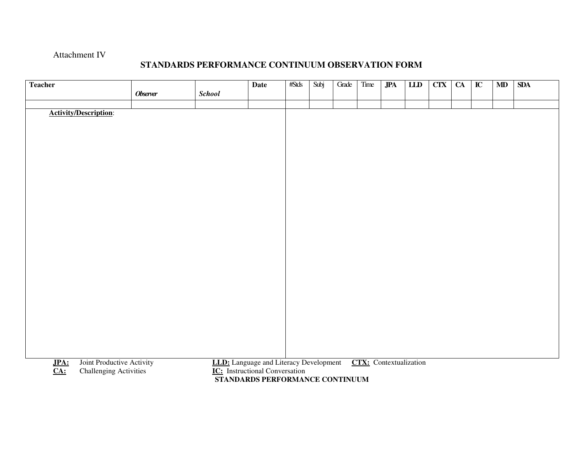#### Attachment IV

#### **STANDARDS PERFORMANCE CONTINUUM OBSERVATION FORM**

| <b>Teacher</b>                                                                                 |                 |                                               | <b>Date</b>                           | #Stds | Subj | Grade | Time | <b>JPA</b> | LID                           | <b>CTX</b> | <b>CA</b> | $\overline{\mathbf{IC}}$ | MD | <b>SDA</b> |
|------------------------------------------------------------------------------------------------|-----------------|-----------------------------------------------|---------------------------------------|-------|------|-------|------|------------|-------------------------------|------------|-----------|--------------------------|----|------------|
|                                                                                                | <b>Observer</b> | <b>School</b>                                 |                                       |       |      |       |      |            |                               |            |           |                          |    |            |
|                                                                                                |                 |                                               |                                       |       |      |       |      |            |                               |            |           |                          |    |            |
| <b>Activity/Description:</b>                                                                   |                 |                                               |                                       |       |      |       |      |            |                               |            |           |                          |    |            |
|                                                                                                |                 |                                               |                                       |       |      |       |      |            |                               |            |           |                          |    |            |
|                                                                                                |                 |                                               |                                       |       |      |       |      |            |                               |            |           |                          |    |            |
|                                                                                                |                 |                                               |                                       |       |      |       |      |            |                               |            |           |                          |    |            |
|                                                                                                |                 |                                               |                                       |       |      |       |      |            |                               |            |           |                          |    |            |
|                                                                                                |                 |                                               |                                       |       |      |       |      |            |                               |            |           |                          |    |            |
|                                                                                                |                 |                                               |                                       |       |      |       |      |            |                               |            |           |                          |    |            |
|                                                                                                |                 |                                               |                                       |       |      |       |      |            |                               |            |           |                          |    |            |
|                                                                                                |                 |                                               |                                       |       |      |       |      |            |                               |            |           |                          |    |            |
|                                                                                                |                 |                                               |                                       |       |      |       |      |            |                               |            |           |                          |    |            |
|                                                                                                |                 |                                               |                                       |       |      |       |      |            |                               |            |           |                          |    |            |
|                                                                                                |                 |                                               |                                       |       |      |       |      |            |                               |            |           |                          |    |            |
|                                                                                                |                 |                                               |                                       |       |      |       |      |            |                               |            |           |                          |    |            |
|                                                                                                |                 |                                               |                                       |       |      |       |      |            |                               |            |           |                          |    |            |
|                                                                                                |                 |                                               |                                       |       |      |       |      |            |                               |            |           |                          |    |            |
|                                                                                                |                 |                                               |                                       |       |      |       |      |            |                               |            |           |                          |    |            |
|                                                                                                |                 |                                               |                                       |       |      |       |      |            |                               |            |           |                          |    |            |
|                                                                                                |                 |                                               |                                       |       |      |       |      |            |                               |            |           |                          |    |            |
|                                                                                                |                 |                                               |                                       |       |      |       |      |            |                               |            |           |                          |    |            |
|                                                                                                |                 |                                               |                                       |       |      |       |      |            |                               |            |           |                          |    |            |
|                                                                                                |                 |                                               |                                       |       |      |       |      |            |                               |            |           |                          |    |            |
|                                                                                                |                 |                                               |                                       |       |      |       |      |            |                               |            |           |                          |    |            |
|                                                                                                |                 |                                               |                                       |       |      |       |      |            | <b>CTX:</b> Contextualization |            |           |                          |    |            |
| Joint Productive Activity<br>JPA:<br><b>Challenging Activities</b><br>$\underline{\text{CA:}}$ |                 | <b>LLD:</b> Language and Literacy Development | <b>IC:</b> Instructional Conversation |       |      |       |      |            |                               |            |           |                          |    |            |
|                                                                                                |                 |                                               | STANDARDS PERFORMANCE CONTINUUM       |       |      |       |      |            |                               |            |           |                          |    |            |